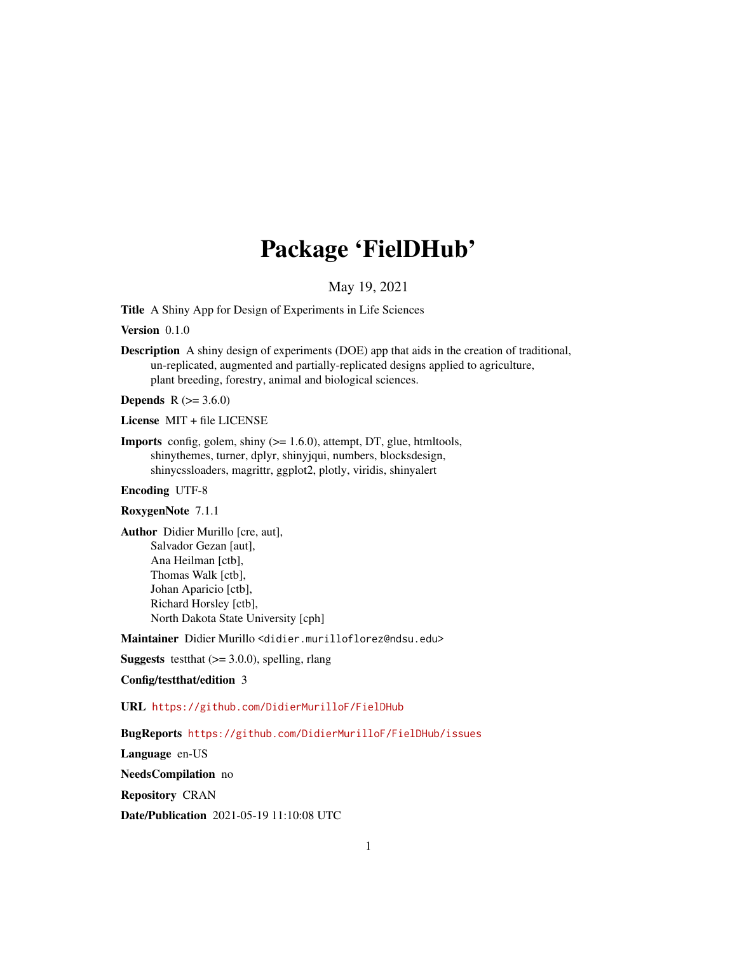## Package 'FielDHub'

### May 19, 2021

<span id="page-0-0"></span>Title A Shiny App for Design of Experiments in Life Sciences

Version 0.1.0

Description A shiny design of experiments (DOE) app that aids in the creation of traditional, un-replicated, augmented and partially-replicated designs applied to agriculture, plant breeding, forestry, animal and biological sciences.

**Depends** R  $(>= 3.6.0)$ 

License MIT + file LICENSE

**Imports** config, golem, shiny  $(>= 1.6.0)$ , attempt, DT, glue, htmltools, shinythemes, turner, dplyr, shinyjqui, numbers, blocksdesign, shinycssloaders, magrittr, ggplot2, plotly, viridis, shinyalert

### Encoding UTF-8

### RoxygenNote 7.1.1

Author Didier Murillo [cre, aut], Salvador Gezan [aut], Ana Heilman [ctb], Thomas Walk [ctb], Johan Aparicio [ctb], Richard Horsley [ctb], North Dakota State University [cph]

Maintainer Didier Murillo <didier.murilloflorez@ndsu.edu>

**Suggests** test that  $(>= 3.0.0)$ , spelling, rlang

### Config/testthat/edition 3

URL <https://github.com/DidierMurilloF/FielDHub>

#### BugReports <https://github.com/DidierMurilloF/FielDHub/issues>

Language en-US

NeedsCompilation no

Repository CRAN

Date/Publication 2021-05-19 11:10:08 UTC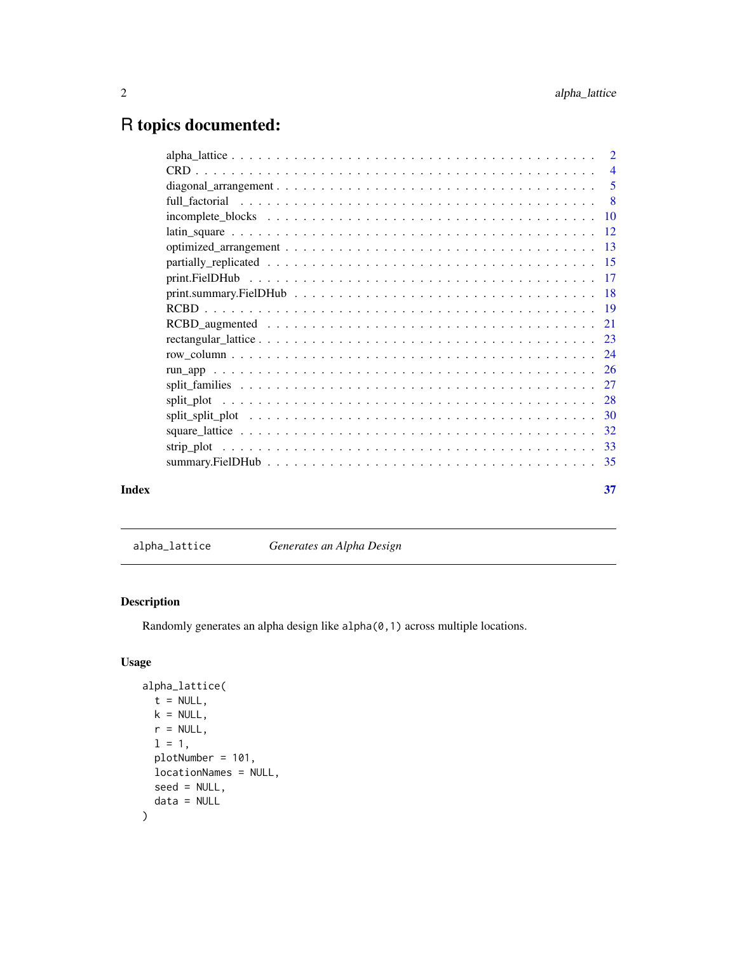## <span id="page-1-0"></span>R topics documented:

| Index | 37 |
|-------|----|

alpha\_lattice *Generates an Alpha Design*

### Description

Randomly generates an alpha design like alpha(0,1) across multiple locations.

### Usage

```
alpha_lattice(
 t = NULL,k = NULL,r = NULL,1 = 1,
 plotNumber = 101,
 locationNames = NULL,
 seed = NULL,
  data = NULL
\mathcal{L}
```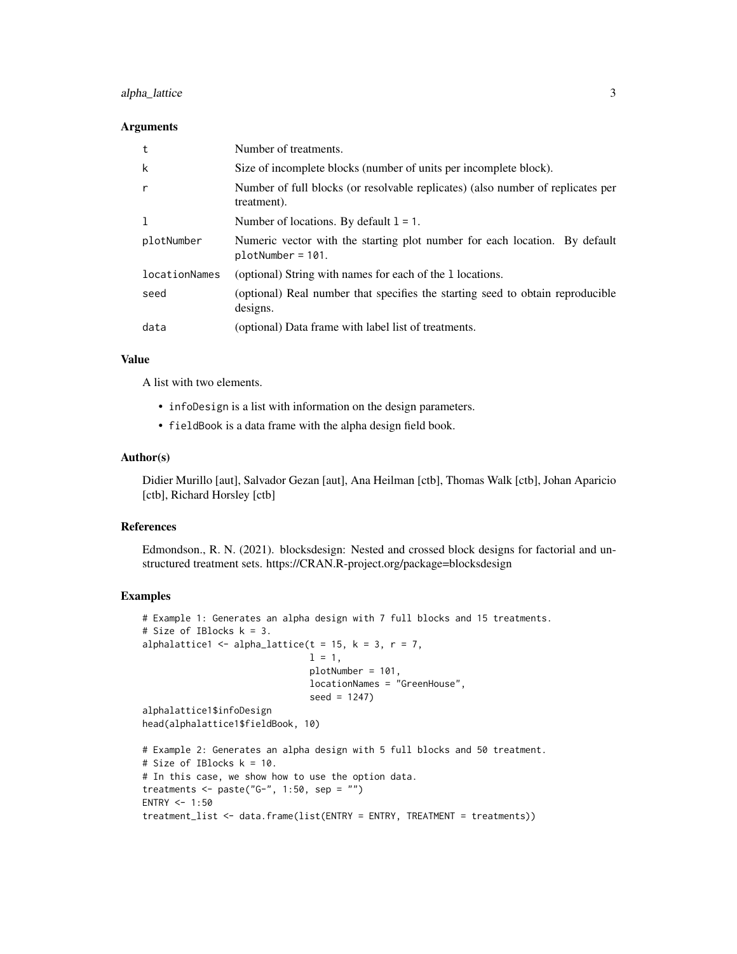### alpha\_lattice 3

#### Arguments

| t             | Number of treatments.                                                                             |
|---------------|---------------------------------------------------------------------------------------------------|
| k             | Size of incomplete blocks (number of units per incomplete block).                                 |
| $\mathsf{r}$  | Number of full blocks (or resolvable replicates) (also number of replicates per<br>treatment).    |
| 1             | Number of locations. By default $1 = 1$ .                                                         |
| plotNumber    | Numeric vector with the starting plot number for each location. By default<br>$plotNumber = 101.$ |
| locationNames | (optional) String with names for each of the 1 locations.                                         |
| seed          | (optional) Real number that specifies the starting seed to obtain reproducible<br>designs.        |
| data          | (optional) Data frame with label list of treatments.                                              |

#### Value

A list with two elements.

- infoDesign is a list with information on the design parameters.
- fieldBook is a data frame with the alpha design field book.

#### Author(s)

Didier Murillo [aut], Salvador Gezan [aut], Ana Heilman [ctb], Thomas Walk [ctb], Johan Aparicio [ctb], Richard Horsley [ctb]

#### References

Edmondson., R. N. (2021). blocksdesign: Nested and crossed block designs for factorial and unstructured treatment sets. https://CRAN.R-project.org/package=blocksdesign

```
# Example 1: Generates an alpha design with 7 full blocks and 15 treatments.
# Size of IBlocks k = 3.
alphalattice1 \leq alpha_lattice(t = 15, k = 3, r = 7,
                               l = 1,
                               plotNumber = 101,
                               locationNames = "GreenHouse",
                               seed = 1247)
alphalattice1$infoDesign
head(alphalattice1$fieldBook, 10)
# Example 2: Generates an alpha design with 5 full blocks and 50 treatment.
# Size of IBlocks k = 10.
# In this case, we show how to use the option data.
treatments <- paste("G-", 1:50, sep = "")
ENTRY <-1:50treatment_list <- data.frame(list(ENTRY = ENTRY, TREATMENT = treatments))
```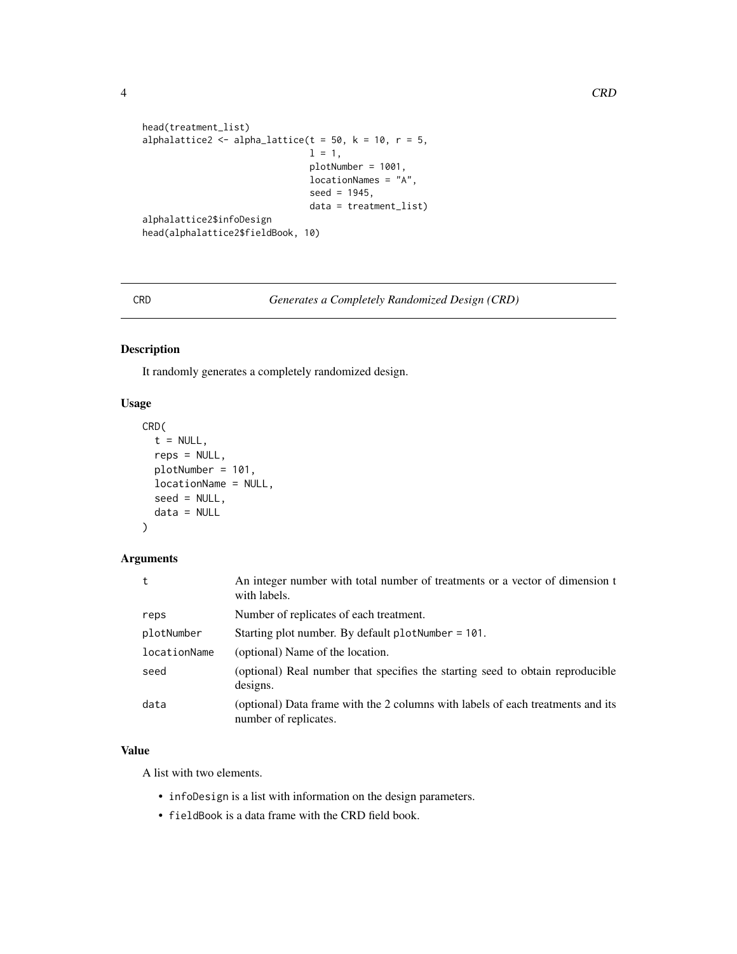```
head(treatment_list)
alphalattice2 <- alpha_lattice(t = 50, k = 10, r = 5,
                               1 = 1,plotNumber = 1001,
                               locationNames = "A",
                               seed = 1945,data = treatment_list)
alphalattice2$infoDesign
head(alphalattice2$fieldBook, 10)
```
CRD *Generates a Completely Randomized Design (CRD)*

#### Description

It randomly generates a completely randomized design.

### Usage

```
CRD(
  t = NULL,reps = NULL,
 plotNumber = 101,
  locationName = NULL,
  seed = NULL,data = NULL
)
```
### Arguments

| t            | An integer number with total number of treatments or a vector of dimension t<br>with labels.             |  |
|--------------|----------------------------------------------------------------------------------------------------------|--|
| reps         | Number of replicates of each treatment.                                                                  |  |
| plotNumber   | Starting plot number. By default plotNumber = 101.                                                       |  |
| locationName | (optional) Name of the location.                                                                         |  |
| seed         | (optional) Real number that specifies the starting seed to obtain reproducible<br>designs.               |  |
| data         | (optional) Data frame with the 2 columns with labels of each treatments and its<br>number of replicates. |  |

### Value

A list with two elements.

- infoDesign is a list with information on the design parameters.
- fieldBook is a data frame with the CRD field book.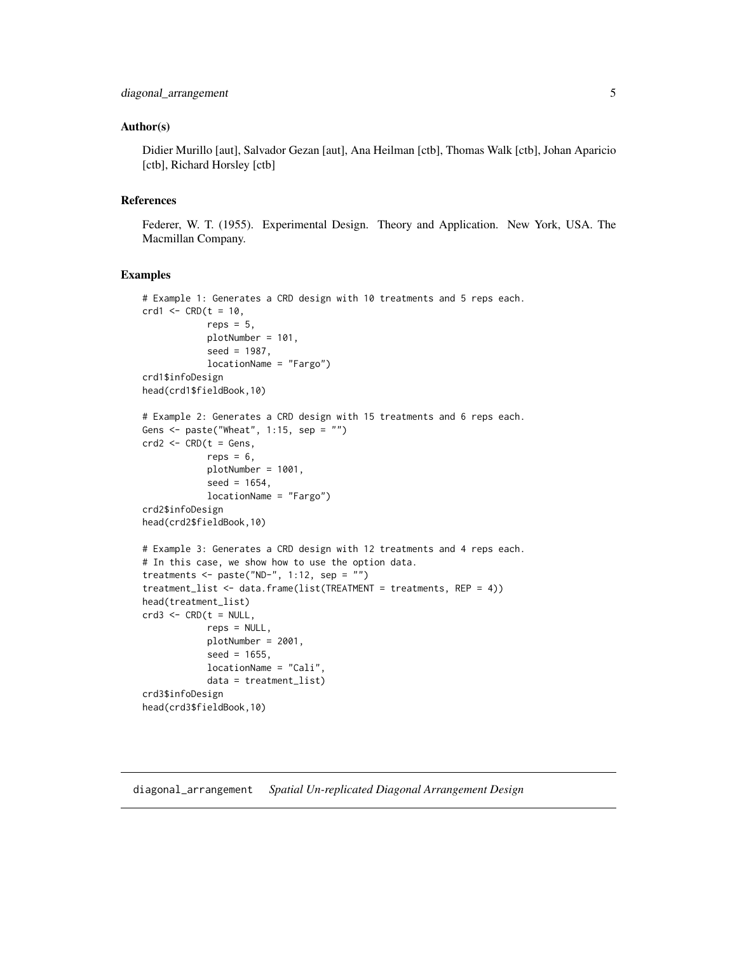#### <span id="page-4-0"></span>Author(s)

Didier Murillo [aut], Salvador Gezan [aut], Ana Heilman [ctb], Thomas Walk [ctb], Johan Aparicio [ctb], Richard Horsley [ctb]

### References

Federer, W. T. (1955). Experimental Design. Theory and Application. New York, USA. The Macmillan Company.

#### Examples

```
# Example 1: Generates a CRD design with 10 treatments and 5 reps each.
crd1 < - CRD(t = 10,
            reps = 5,
            plotNumber = 101,
            seed = 1987,
            locationName = "Fargo")
crd1$infoDesign
head(crd1$fieldBook,10)
# Example 2: Generates a CRD design with 15 treatments and 6 reps each.
Gens \leq paste("Wheat", 1:15, sep = "")
crd2 \leq - CRD(t = Gens,
            reps = 6,
            plotNumber = 1001,
            seed = 1654,
            locationName = "Fargo")
crd2$infoDesign
head(crd2$fieldBook,10)
# Example 3: Generates a CRD design with 12 treatments and 4 reps each.
# In this case, we show how to use the option data.
treatments \leq paste("ND-", 1:12, sep = "")
treatment_list <- data.frame(list(TREATMENT = treatments, REP = 4))
head(treatment_list)
crd3 \leq - CRD(t = NULL,reps = NULL,
            plotNumber = 2001,
            seed = 1655,
            locationName = "Cali",
            data = treatment_list)
crd3$infoDesign
head(crd3$fieldBook,10)
```
diagonal\_arrangement *Spatial Un-replicated Diagonal Arrangement Design*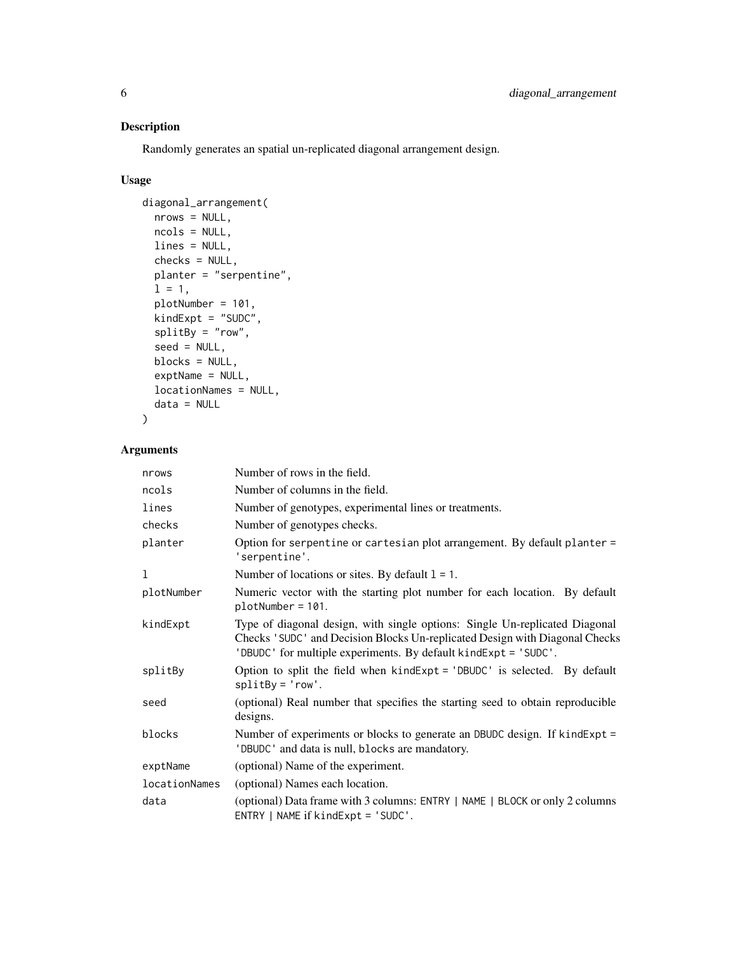### Description

Randomly generates an spatial un-replicated diagonal arrangement design.

### Usage

```
diagonal_arrangement(
 nrows = NULL,
 ncols = NULL,
 lines = NULL,
 checks = NULL,
 planter = "serpentine",
  1 = 1,
 plotNumber = 101,
 kindExpt = "SUDC",splitBy = "row",seed = NULL,
 blocks = NULL,
 exptName = NULL,
  locationNames = NULL,
 data = NULL
\lambda
```

| nrows         | Number of rows in the field.                                                                                                                                                                                                  |  |
|---------------|-------------------------------------------------------------------------------------------------------------------------------------------------------------------------------------------------------------------------------|--|
| ncols         | Number of columns in the field.                                                                                                                                                                                               |  |
| lines         | Number of genotypes, experimental lines or treatments.                                                                                                                                                                        |  |
| checks        | Number of genotypes checks.                                                                                                                                                                                                   |  |
| planter       | Option for serpentine or cartesian plot arrangement. By default planter =<br>'serpentine'.                                                                                                                                    |  |
| 1             | Number of locations or sites. By default $l = 1$ .                                                                                                                                                                            |  |
| plotNumber    | Numeric vector with the starting plot number for each location. By default<br>$plotNumber = 101.$                                                                                                                             |  |
| kindExpt      | Type of diagonal design, with single options: Single Un-replicated Diagonal<br>Checks 'SUDC' and Decision Blocks Un-replicated Design with Diagonal Checks<br>'DBUDC' for multiple experiments. By default kindExpt = 'SUDC'. |  |
| splitBy       | Option to split the field when $kindExpt = 'DBUDC'$ is selected. By default<br>$splitBy = 'row'.$                                                                                                                             |  |
| seed          | (optional) Real number that specifies the starting seed to obtain reproducible<br>designs.                                                                                                                                    |  |
| blocks        | Number of experiments or blocks to generate an DBUDC design. If kindExpt =<br>'DBUDC' and data is null, blocks are mandatory.                                                                                                 |  |
| exptName      | (optional) Name of the experiment.                                                                                                                                                                                            |  |
| locationNames | (optional) Names each location.                                                                                                                                                                                               |  |
| data          | (optional) Data frame with 3 columns: ENTRY   NAME   BLOCK or only 2 columns<br>ENTRY   NAME if kindExpt = 'SUDC'.                                                                                                            |  |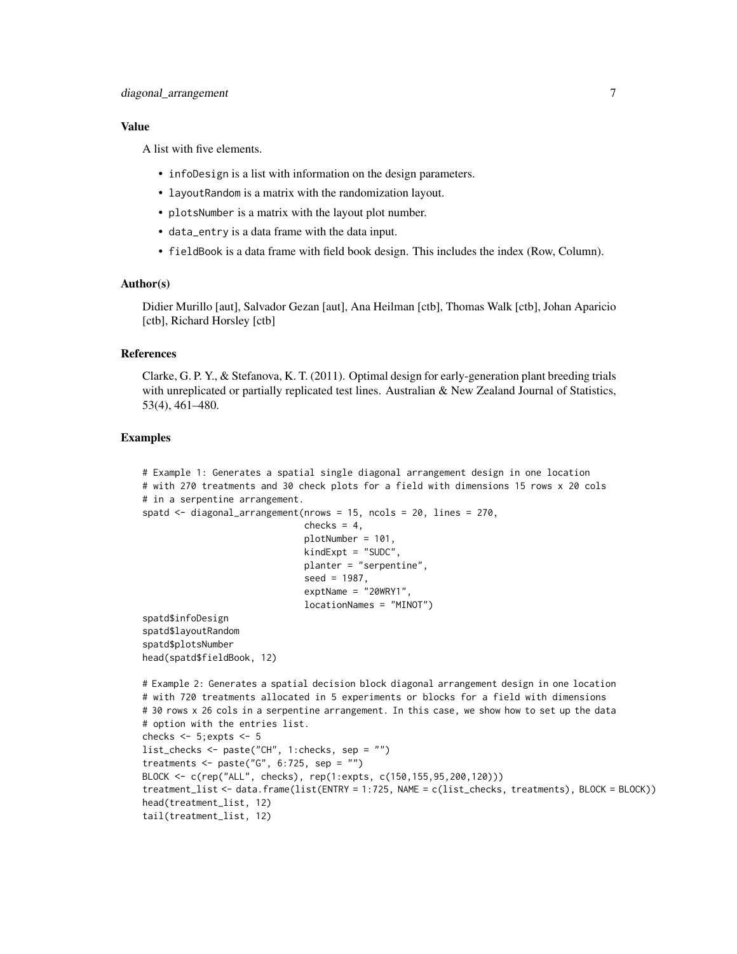#### Value

A list with five elements.

- infoDesign is a list with information on the design parameters.
- layoutRandom is a matrix with the randomization layout.
- plotsNumber is a matrix with the layout plot number.
- data\_entry is a data frame with the data input.
- fieldBook is a data frame with field book design. This includes the index (Row, Column).

#### Author(s)

Didier Murillo [aut], Salvador Gezan [aut], Ana Heilman [ctb], Thomas Walk [ctb], Johan Aparicio [ctb], Richard Horsley [ctb]

#### References

Clarke, G. P. Y., & Stefanova, K. T. (2011). Optimal design for early-generation plant breeding trials with unreplicated or partially replicated test lines. Australian  $\&$  New Zealand Journal of Statistics, 53(4), 461–480.

```
# Example 1: Generates a spatial single diagonal arrangement design in one location
# with 270 treatments and 30 check plots for a field with dimensions 15 rows x 20 cols
# in a serpentine arrangement.
spatd \le diagonal_arrangement(nrows = 15, ncols = 20, lines = 270,
                              checks = 4,
                              plotNumber = 101,
                              kindExpt = "SUDC",
                              planter = "serpentine",
                              seed = 1987,
                              exptName = "20WRY1",
                              locationNames = "MINOT")
spatd$infoDesign
spatd$layoutRandom
spatd$plotsNumber
head(spatd$fieldBook, 12)
# Example 2: Generates a spatial decision block diagonal arrangement design in one location
# with 720 treatments allocated in 5 experiments or blocks for a field with dimensions
# 30 rows x 26 cols in a serpentine arrangement. In this case, we show how to set up the data
# option with the entries list.
checks <- 5;expts <- 5
list_checks <- paste("CH", 1:checks, sep = "")
treatments \leq paste("G", 6:725, sep = "")
BLOCK <- c(rep("ALL", checks), rep(1:expts, c(150,155,95,200,120)))
treatment_list <- data.frame(list(ENTRY = 1:725, NAME = c(list_checks, treatments), BLOCK = BLOCK))
head(treatment_list, 12)
tail(treatment_list, 12)
```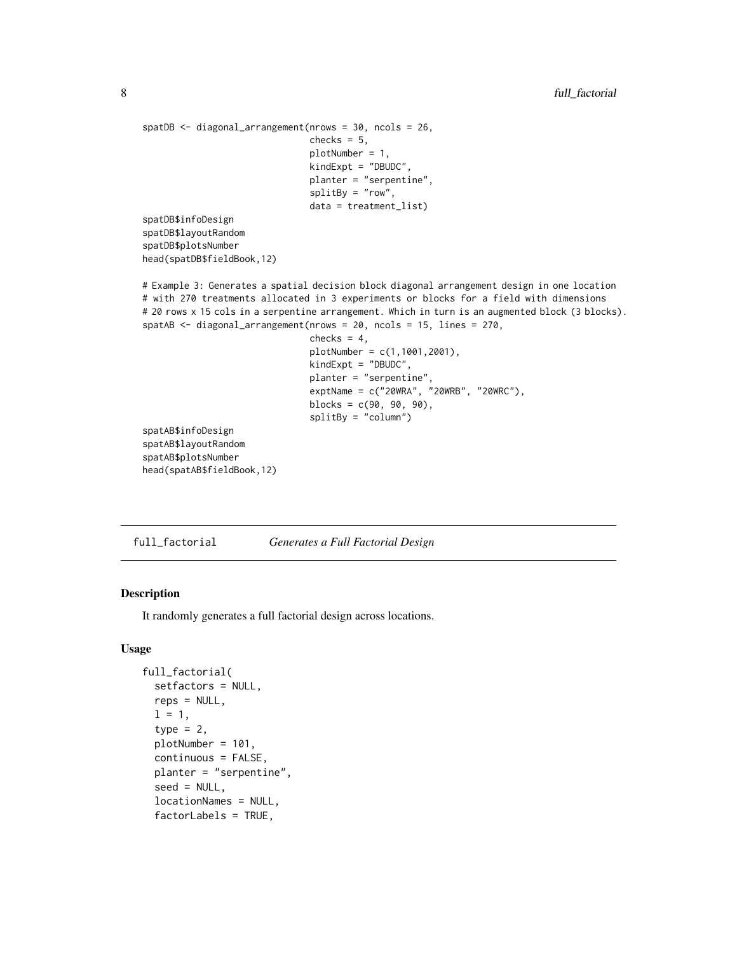```
spatDB <- diagonal_arrangement(nrows = 30, ncols = 26,
                               checks = 5,
                               plotNumber = 1,
                               kindExpt = "DBUDC",
                               planter = "serpentine",
                               splitBy = "row",
                               data = treatment_list)
spatDB$infoDesign
spatDB$layoutRandom
spatDB$plotsNumber
head(spatDB$fieldBook,12)
# Example 3: Generates a spatial decision block diagonal arrangement design in one location
# with 270 treatments allocated in 3 experiments or blocks for a field with dimensions
# 20 rows x 15 cols in a serpentine arrangement. Which in turn is an augmented block (3 blocks).
spatAB <- diagonal_arrangement(nrows = 20, ncols = 15, lines = 270,
                               checks = 4,
                               plotNumber = c(1,1001,2001),
                               kindExpt = "DBUDC",
                               planter = "serpentine",
                               exptName = c("20WRA", "20WRB", "20WRC"),
                               blocks = c(90, 90, 90),
                               splitBy = "column")
spatAB$infoDesign
spatAB$layoutRandom
spatAB$plotsNumber
head(spatAB$fieldBook,12)
```
full\_factorial *Generates a Full Factorial Design*

### Description

It randomly generates a full factorial design across locations.

#### Usage

```
full_factorial(
  setfactors = NULL,
  reps = NULL,1 = 1,type = 2,
  plotNumber = 101,
  continuous = FALSE,
  planter = "serpentine",
  seed = NULL,
  locationNames = NULL,
  factorLabels = TRUE,
```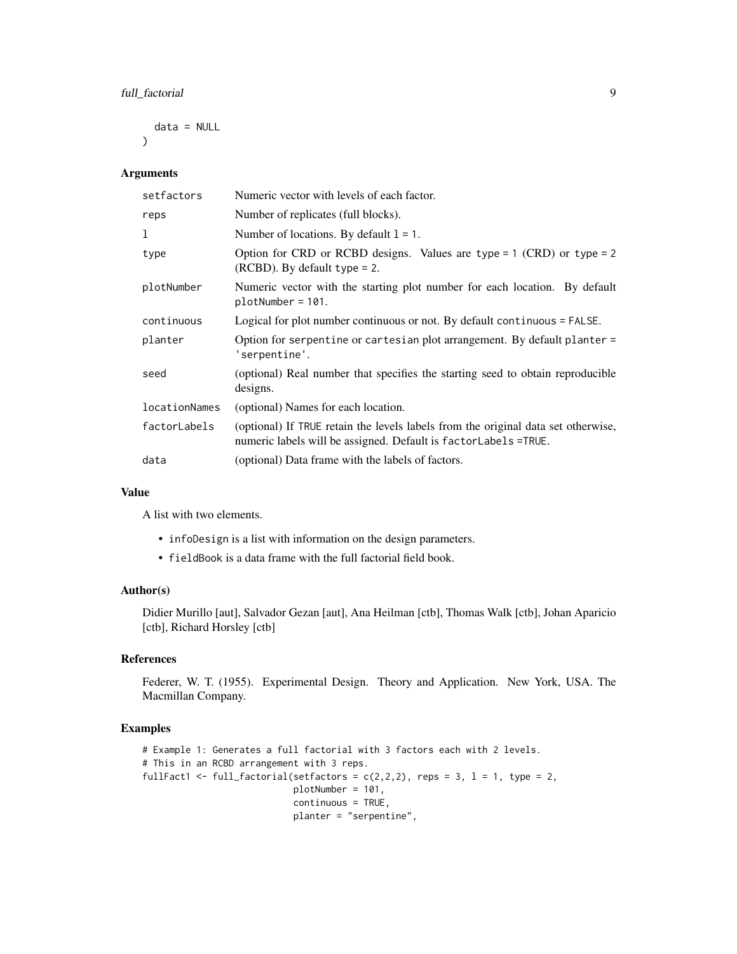### full\_factorial 9

data = NULL

Arguments

 $\lambda$ 

| setfactors    | Numeric vector with levels of each factor.                                                                                                           |  |
|---------------|------------------------------------------------------------------------------------------------------------------------------------------------------|--|
| reps          | Number of replicates (full blocks).                                                                                                                  |  |
| 1             | Number of locations. By default $l = 1$ .                                                                                                            |  |
| type          | Option for CRD or RCBD designs. Values are type = $1$ (CRD) or type = $2$<br>$(RCBD)$ . By default type = 2.                                         |  |
| plotNumber    | Numeric vector with the starting plot number for each location. By default<br>$plotNumber = 101.$                                                    |  |
| continuous    | Logical for plot number continuous or not. By default continuous = FALSE.                                                                            |  |
| planter       | Option for serpentine or cartesian plot arrangement. By default planter =<br>'serpentine'.                                                           |  |
| seed          | (optional) Real number that specifies the starting seed to obtain reproducible<br>designs.                                                           |  |
| locationNames | (optional) Names for each location.                                                                                                                  |  |
| factorLabels  | (optional) If TRUE retain the levels labels from the original data set otherwise,<br>numeric labels will be assigned. Default is factorLabels =TRUE. |  |
| data          | (optional) Data frame with the labels of factors.                                                                                                    |  |

### Value

A list with two elements.

- infoDesign is a list with information on the design parameters.
- fieldBook is a data frame with the full factorial field book.

### Author(s)

Didier Murillo [aut], Salvador Gezan [aut], Ana Heilman [ctb], Thomas Walk [ctb], Johan Aparicio [ctb], Richard Horsley [ctb]

### References

Federer, W. T. (1955). Experimental Design. Theory and Application. New York, USA. The Macmillan Company.

```
# Example 1: Generates a full factorial with 3 factors each with 2 levels.
# This in an RCBD arrangement with 3 reps.
fullFact1 <- full_factorial(setfactors = c(2,2,2), reps = 3, l = 1, type = 2,
                            plotNumber = 101,
                            continuous = TRUE,
                            planter = "serpentine",
```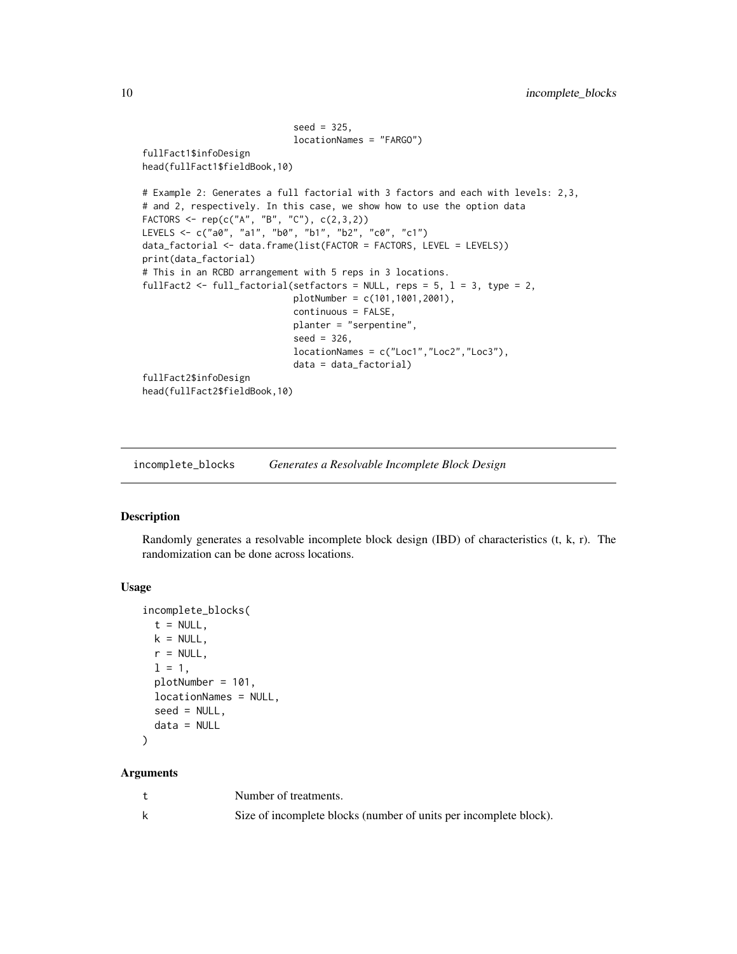```
seed = 325,
                            locationNames = "FARGO")
fullFact1$infoDesign
head(fullFact1$fieldBook,10)
# Example 2: Generates a full factorial with 3 factors and each with levels: 2,3,
# and 2, respectively. In this case, we show how to use the option data
FACTORS <- rep(c("A", "B", "C"), c(2,3,2))
LEVELS <- c("a0", "a1", "b0", "b1", "b2", "c0", "c1")
data_factorial <- data.frame(list(FACTOR = FACTORS, LEVEL = LEVELS))
print(data_factorial)
# This in an RCBD arrangement with 5 reps in 3 locations.
fullFact2 <- full_factorial(setfactors = NULL, reps = 5, l = 3, type = 2,
                            plotNumber = c(101,1001,2001),
                            continuous = FALSE,
                            planter = "serpentine",
                            seed = 326,
                            locationNames = c("Loc1","Loc2","Loc3"),
                            data = data_factorial)
fullFact2$infoDesign
head(fullFact2$fieldBook,10)
```
incomplete\_blocks *Generates a Resolvable Incomplete Block Design*

### Description

Randomly generates a resolvable incomplete block design (IBD) of characteristics (t, k, r). The randomization can be done across locations.

#### Usage

```
incomplete_blocks(
  t = NULL,k = NULL,r = NULL,1 = 1,
 plotNumber = 101,
  locationNames = NULL,
  seed = NULL,
  data = NULL)
```

| Number of treatments.                                             |
|-------------------------------------------------------------------|
| Size of incomplete blocks (number of units per incomplete block). |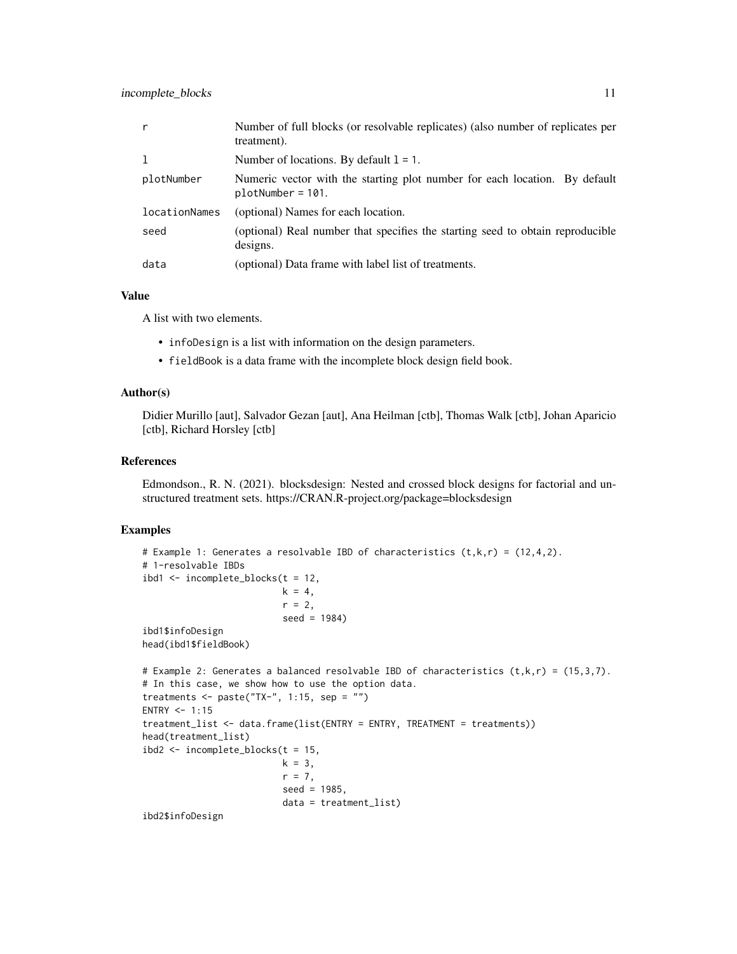| r             | Number of full blocks (or resolvable replicates) (also number of replicates per<br>treatment).    |
|---------------|---------------------------------------------------------------------------------------------------|
| 1             | Number of locations. By default $l = 1$ .                                                         |
| plotNumber    | Numeric vector with the starting plot number for each location. By default<br>$plotNumber = 101.$ |
| locationNames | (optional) Names for each location.                                                               |
| seed          | (optional) Real number that specifies the starting seed to obtain reproducible<br>designs.        |
| data          | (optional) Data frame with label list of treatments.                                              |

#### Value

A list with two elements.

- infoDesign is a list with information on the design parameters.
- fieldBook is a data frame with the incomplete block design field book.

### Author(s)

Didier Murillo [aut], Salvador Gezan [aut], Ana Heilman [ctb], Thomas Walk [ctb], Johan Aparicio [ctb], Richard Horsley [ctb]

#### References

Edmondson., R. N. (2021). blocksdesign: Nested and crossed block designs for factorial and unstructured treatment sets. https://CRAN.R-project.org/package=blocksdesign

```
# Example 1: Generates a resolvable IBD of characteristics (t,k,r) = (12,4,2).
# 1-resolvable IBDs
ibd1 <- incomplete_blocks(t = 12,
                          k = 4,
                          r = 2,
                          seed = 1984)
ibd1$infoDesign
head(ibd1$fieldBook)
# Example 2: Generates a balanced resolvable IBD of characteristics (t, k, r) = (15, 3, 7).
# In this case, we show how to use the option data.
treatments \leq paste("TX-", 1:15, sep = "")
ENTRY <-1:15treatment_list <- data.frame(list(ENTRY = ENTRY, TREATMENT = treatments))
head(treatment_list)
ibd2 <- incomplete_blocks(t = 15,
                          k = 3,
                          r = 7,
                          seed = 1985,
                          data = treatment_list)
ibd2$infoDesign
```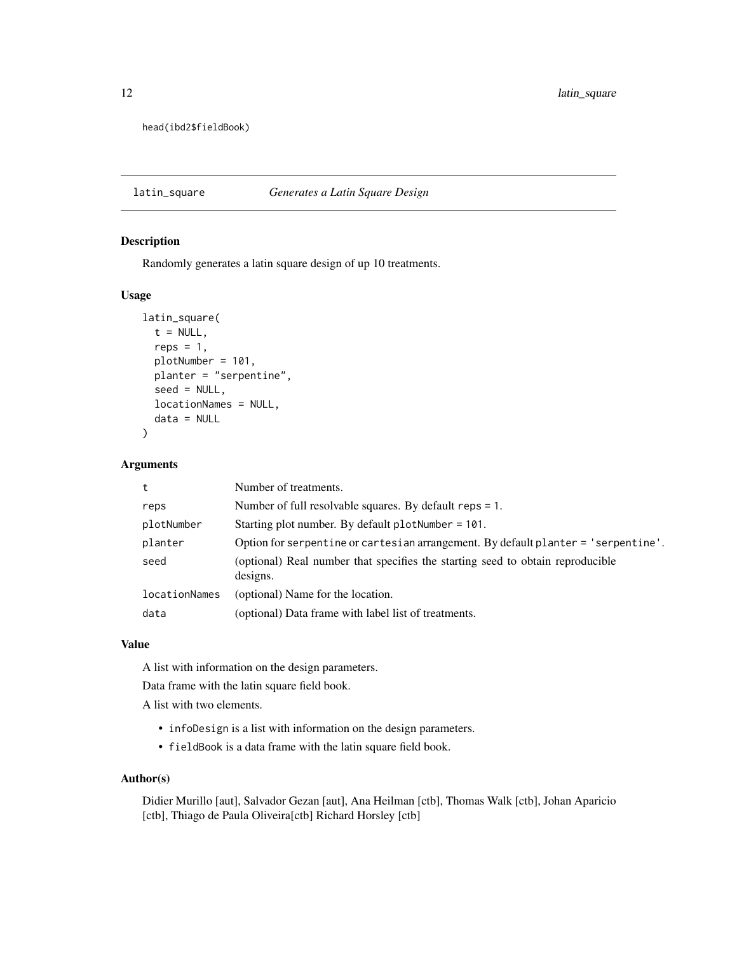<span id="page-11-0"></span>12 latin\_square

head(ibd2\$fieldBook)

### latin\_square *Generates a Latin Square Design*

### Description

Randomly generates a latin square design of up 10 treatments.

#### Usage

```
latin_square(
  t = NULL,reps = 1,
  plotNumber = 101,
  planter = "serpentine",
  seed = NULL,
  locationNames = NULL,
  data = NULL
)
```
### Arguments

| t.            | Number of treatments.                                                                      |  |
|---------------|--------------------------------------------------------------------------------------------|--|
| reps          | Number of full resolvable squares. By default reps = 1.                                    |  |
| plotNumber    | Starting plot number. By default plot Number = $101$ .                                     |  |
| planter       | Option for serpentine or cartesian arrangement. By default planter = 'serpentine'.         |  |
| seed          | (optional) Real number that specifies the starting seed to obtain reproducible<br>designs. |  |
| locationNames | (optional) Name for the location.                                                          |  |
| data          | (optional) Data frame with label list of treatments.                                       |  |

#### Value

A list with information on the design parameters.

Data frame with the latin square field book.

A list with two elements.

- infoDesign is a list with information on the design parameters.
- fieldBook is a data frame with the latin square field book.

#### Author(s)

Didier Murillo [aut], Salvador Gezan [aut], Ana Heilman [ctb], Thomas Walk [ctb], Johan Aparicio [ctb], Thiago de Paula Oliveira[ctb] Richard Horsley [ctb]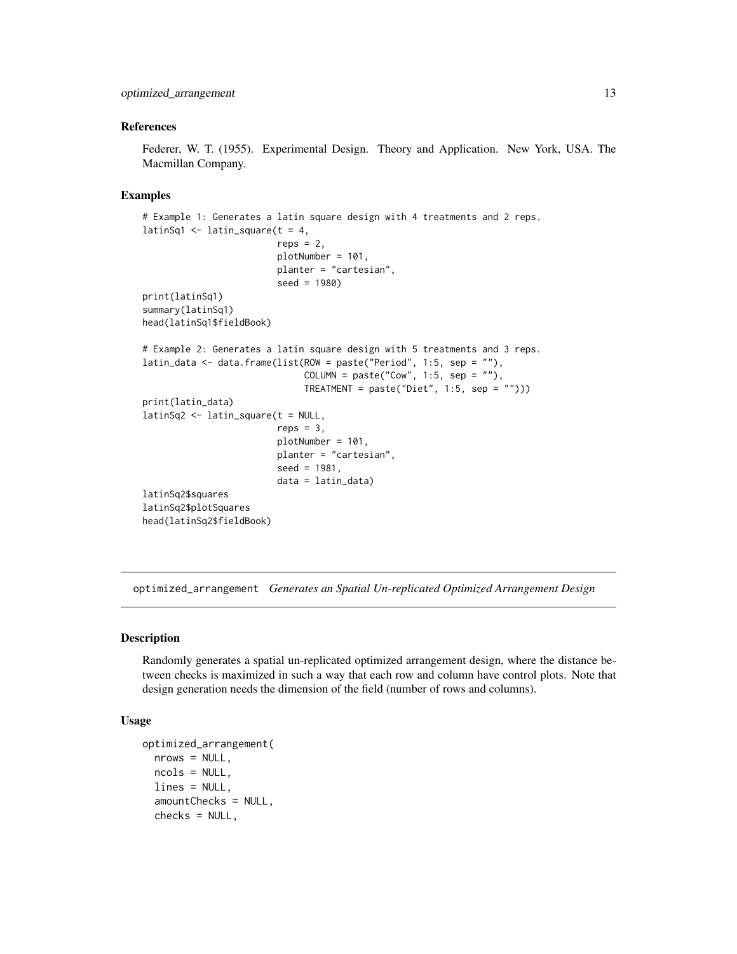#### <span id="page-12-0"></span>References

Federer, W. T. (1955). Experimental Design. Theory and Application. New York, USA. The Macmillan Company.

#### Examples

```
# Example 1: Generates a latin square design with 4 treatments and 2 reps.
latinSq1 \leq latin_square(t = 4,
                         reps = 2,
                         plotNumber = 101,
                         planter = "cartesian",
                         seed = 1980)
print(latinSq1)
summary(latinSq1)
head(latinSq1$fieldBook)
# Example 2: Generates a latin square design with 5 treatments and 3 reps.
latin_data <- data.frame(list(ROW = paste("Period", 1:5, sep = ""),
                               COLUTION = paste("Cow", 1:5, sep = "");TREATMENT = paste("Diet", 1:5, sep = "")))
print(latin_data)
latinSq2 <- latin_square(t = NULL,
                         reps = 3,
                         plotNumber = 101,
                         planter = "cartesian",
                         seed = 1981.
                         data = latin_data)
latinSq2$squares
latinSq2$plotSquares
head(latinSq2$fieldBook)
```
optimized\_arrangement *Generates an Spatial Un-replicated Optimized Arrangement Design*

### Description

Randomly generates a spatial un-replicated optimized arrangement design, where the distance between checks is maximized in such a way that each row and column have control plots. Note that design generation needs the dimension of the field (number of rows and columns).

### Usage

```
optimized_arrangement(
 nrows = NULL,ncols = NULL,
 lines = NULL,
  amountChecks = NULL,
 check = NULL,
```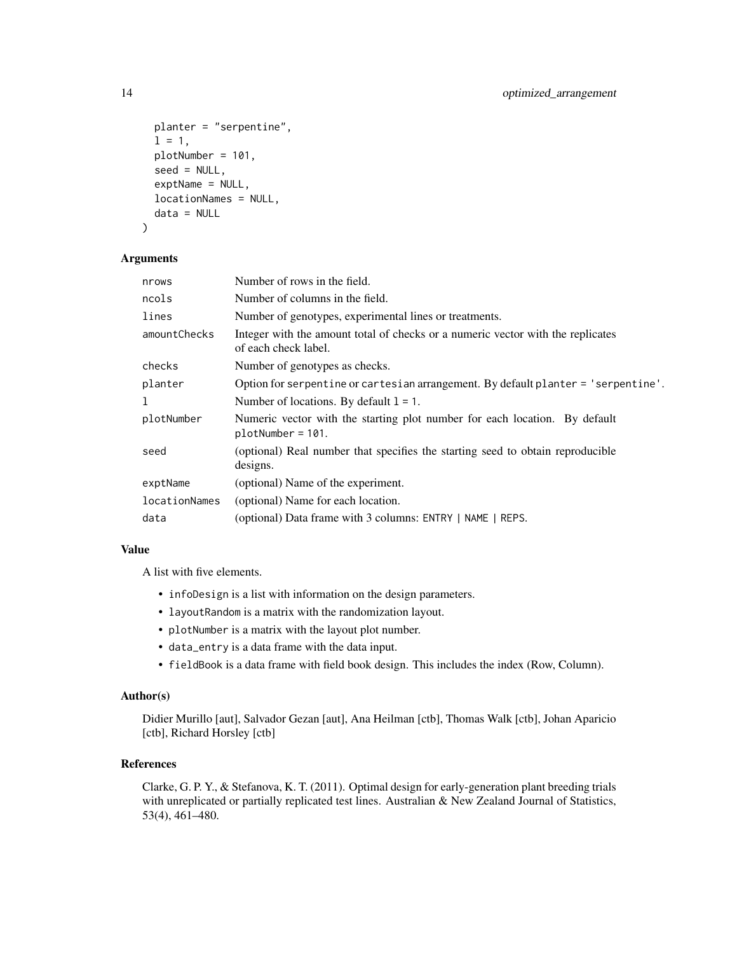```
planter = "serpentine",
  1 = 1,plotNumber = 101,
  seed = NULL,
  exptName = NULL,
  locationNames = NULL,
  data = NULL
\mathcal{L}
```
#### Arguments

| nrows         | Number of rows in the field.                                                                            |  |
|---------------|---------------------------------------------------------------------------------------------------------|--|
| ncols         | Number of columns in the field.                                                                         |  |
| lines         | Number of genotypes, experimental lines or treatments.                                                  |  |
| amountChecks  | Integer with the amount total of checks or a numeric vector with the replicates<br>of each check label. |  |
| checks        | Number of genotypes as checks.                                                                          |  |
| planter       | Option for serpentine or cartesian arrangement. By default planter = 'serpentine'.                      |  |
| 1             | Number of locations. By default $l = 1$ .                                                               |  |
| plotNumber    | Numeric vector with the starting plot number for each location. By default<br>$plotNumber = 101.$       |  |
| seed          | (optional) Real number that specifies the starting seed to obtain reproducible<br>designs.              |  |
| exptName      | (optional) Name of the experiment.                                                                      |  |
| locationNames | (optional) Name for each location.                                                                      |  |
| data          | (optional) Data frame with 3 columns: ENTRY   NAME   REPS.                                              |  |
|               |                                                                                                         |  |

### Value

A list with five elements.

- infoDesign is a list with information on the design parameters.
- layoutRandom is a matrix with the randomization layout.
- plotNumber is a matrix with the layout plot number.
- data\_entry is a data frame with the data input.
- fieldBook is a data frame with field book design. This includes the index (Row, Column).

### Author(s)

Didier Murillo [aut], Salvador Gezan [aut], Ana Heilman [ctb], Thomas Walk [ctb], Johan Aparicio [ctb], Richard Horsley [ctb]

### References

Clarke, G. P. Y., & Stefanova, K. T. (2011). Optimal design for early-generation plant breeding trials with unreplicated or partially replicated test lines. Australian & New Zealand Journal of Statistics, 53(4), 461–480.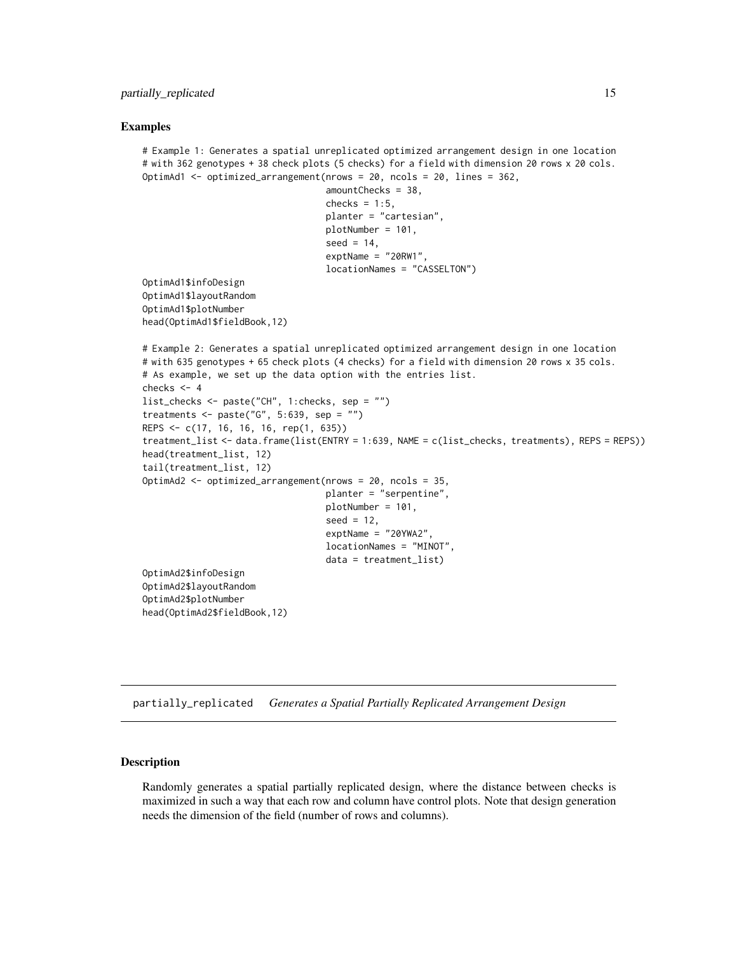#### <span id="page-14-0"></span>Examples

```
# Example 1: Generates a spatial unreplicated optimized arrangement design in one location
# with 362 genotypes + 38 check plots (5 checks) for a field with dimension 20 rows x 20 cols.
OptimAd1 <- optimized_arrangement(nrows = 20, ncols = 20, lines = 362,
                                   amountChecks = 38,
                                   checks = 1:5,
                                   planter = "cartesian",
                                   plotNumber = 101,
                                   seed = 14,
                                   exptName = "20RW1",
                                   locationNames = "CASSELTON")
OptimAd1$infoDesign
OptimAd1$layoutRandom
OptimAd1$plotNumber
head(OptimAd1$fieldBook,12)
# Example 2: Generates a spatial unreplicated optimized arrangement design in one location
# with 635 genotypes + 65 check plots (4 checks) for a field with dimension 20 rows x 35 cols.
# As example, we set up the data option with the entries list.
checks <-4list_checks <- paste("CH", 1:checks, sep = "")
treatments <- paste("G", 5:639, sep = "")
REPS <- c(17, 16, 16, 16, rep(1, 635))
treatment_list <- data.frame(list(ENTRY = 1:639, NAME = c(list_checks, treatments), REPS = REPS))
head(treatment_list, 12)
tail(treatment_list, 12)
OptimAd2 <- optimized_arrangement(nrows = 20, ncols = 35,
                                  planter = "serpentine",
                                  plotNumber = 101,
                                   seed = 12,
                                  exptName = "20YWA2",
                                   locationNames = "MINOT",
                                   data = treatment_list)
OptimAd2$infoDesign
OptimAd2$layoutRandom
OptimAd2$plotNumber
head(OptimAd2$fieldBook,12)
```
partially\_replicated *Generates a Spatial Partially Replicated Arrangement Design*

#### Description

Randomly generates a spatial partially replicated design, where the distance between checks is maximized in such a way that each row and column have control plots. Note that design generation needs the dimension of the field (number of rows and columns).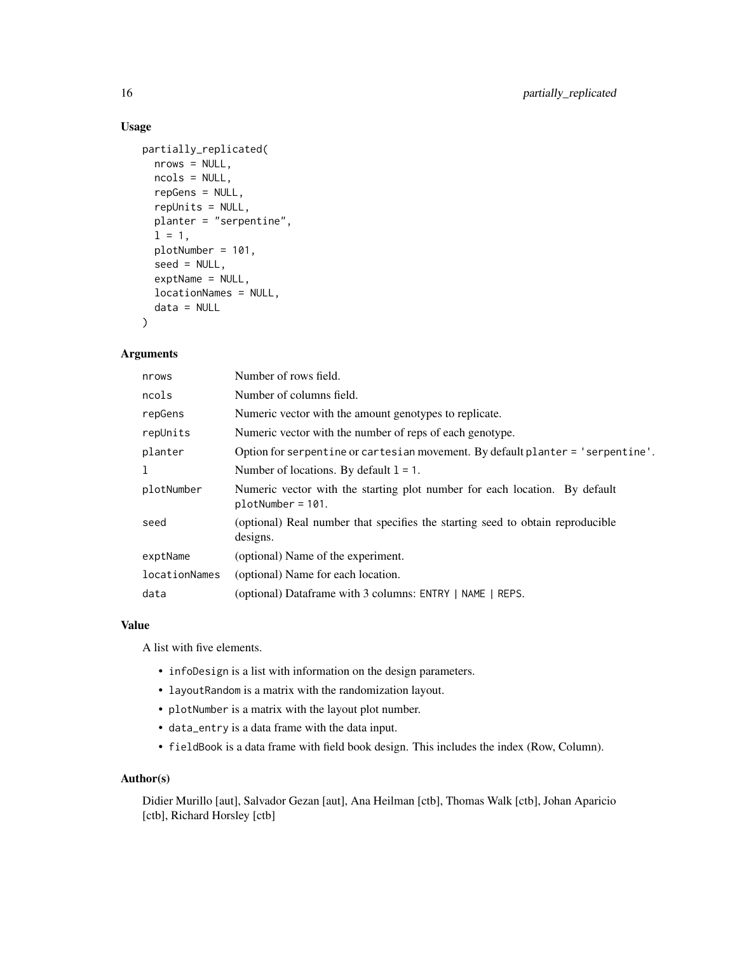### Usage

```
partially_replicated(
  nrows = NULL,
  ncols = NULL,
  repGens = NULL,
  repUnits = NULL,
  planter = "serpentine",
  1 = 1,plotNumber = 101,
  seed = NULL,
  exptName = NULL,
  locationNames = NULL,
  data = NULL
\mathcal{L}
```
### Arguments

| nrows         | Number of rows field.                                                                             |  |
|---------------|---------------------------------------------------------------------------------------------------|--|
| ncols         | Number of columns field.                                                                          |  |
| repGens       | Numeric vector with the amount genotypes to replicate.                                            |  |
| repUnits      | Numeric vector with the number of reps of each genotype.                                          |  |
| planter       | Option for serpentine or cartesian movement. By default planter = 'serpentine'.                   |  |
| 1             | Number of locations. By default $l = 1$ .                                                         |  |
| plotNumber    | Numeric vector with the starting plot number for each location. By default<br>$plotNumber = 101.$ |  |
| seed          | (optional) Real number that specifies the starting seed to obtain reproducible<br>designs.        |  |
| exptName      | (optional) Name of the experiment.                                                                |  |
| locationNames | (optional) Name for each location.                                                                |  |
| data          | (optional) Dataframe with 3 columns: ENTRY   NAME   REPS.                                         |  |

### Value

A list with five elements.

- infoDesign is a list with information on the design parameters.
- layoutRandom is a matrix with the randomization layout.
- plotNumber is a matrix with the layout plot number.
- data\_entry is a data frame with the data input.
- fieldBook is a data frame with field book design. This includes the index (Row, Column).

#### Author(s)

Didier Murillo [aut], Salvador Gezan [aut], Ana Heilman [ctb], Thomas Walk [ctb], Johan Aparicio [ctb], Richard Horsley [ctb]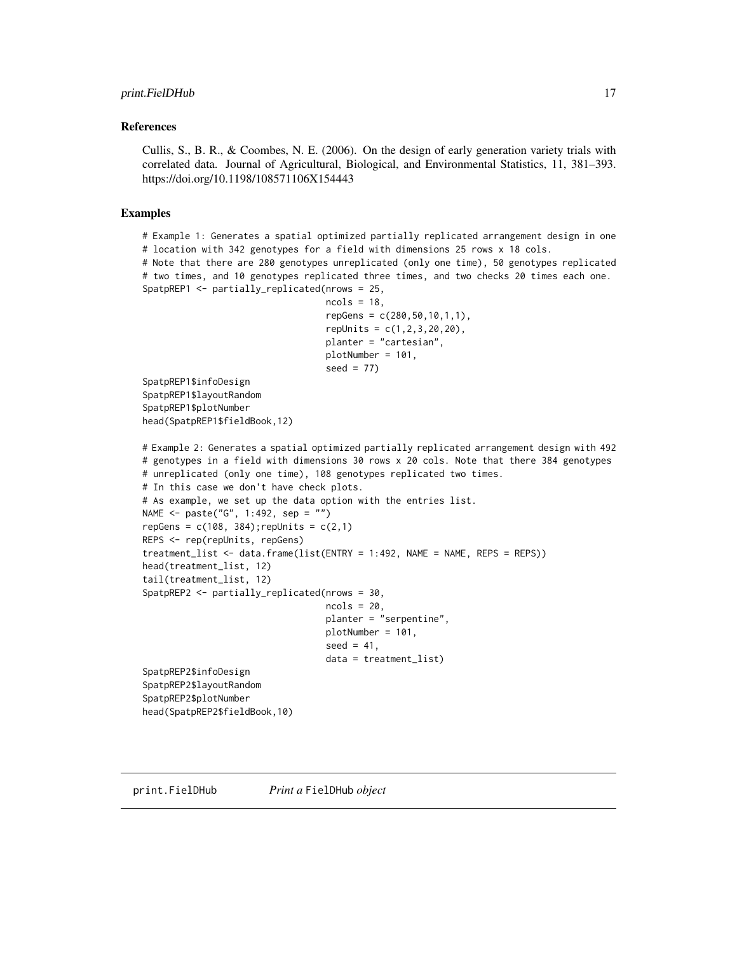#### <span id="page-16-0"></span>References

Cullis, S., B. R., & Coombes, N. E. (2006). On the design of early generation variety trials with correlated data. Journal of Agricultural, Biological, and Environmental Statistics, 11, 381–393. https://doi.org/10.1198/108571106X154443

#### Examples

# Example 1: Generates a spatial optimized partially replicated arrangement design in one # location with 342 genotypes for a field with dimensions 25 rows x 18 cols. # Note that there are 280 genotypes unreplicated (only one time), 50 genotypes replicated # two times, and 10 genotypes replicated three times, and two checks 20 times each one. SpatpREP1 <- partially\_replicated(nrows = 25,  $ncols = 18$ ,  $repGens = c(280, 50, 10, 1, 1),$ repUnits = c(1,2,3,20,20), planter = "cartesian", plotNumber = 101, seed  $= 77$ ) SpatpREP1\$infoDesign SpatpREP1\$layoutRandom SpatpREP1\$plotNumber head(SpatpREP1\$fieldBook,12) # Example 2: Generates a spatial optimized partially replicated arrangement design with 492 # genotypes in a field with dimensions 30 rows x 20 cols. Note that there 384 genotypes # unreplicated (only one time), 108 genotypes replicated two times. # In this case we don't have check plots. # As example, we set up the data option with the entries list. NAME <- paste("G", 1:492, sep = "") repGens =  $c(108, 384)$ ; repUnits =  $c(2,1)$ REPS <- rep(repUnits, repGens) treatment\_list <- data.frame(list(ENTRY = 1:492, NAME = NAME, REPS = REPS)) head(treatment\_list, 12) tail(treatment\_list, 12) SpatpREP2 <- partially\_replicated(nrows = 30,  $ncols = 20$ , planter = "serpentine", plotNumber = 101, seed =  $41$ , data = treatment\_list) SpatpREP2\$infoDesign SpatpREP2\$layoutRandom SpatpREP2\$plotNumber

head(SpatpREP2\$fieldBook,10)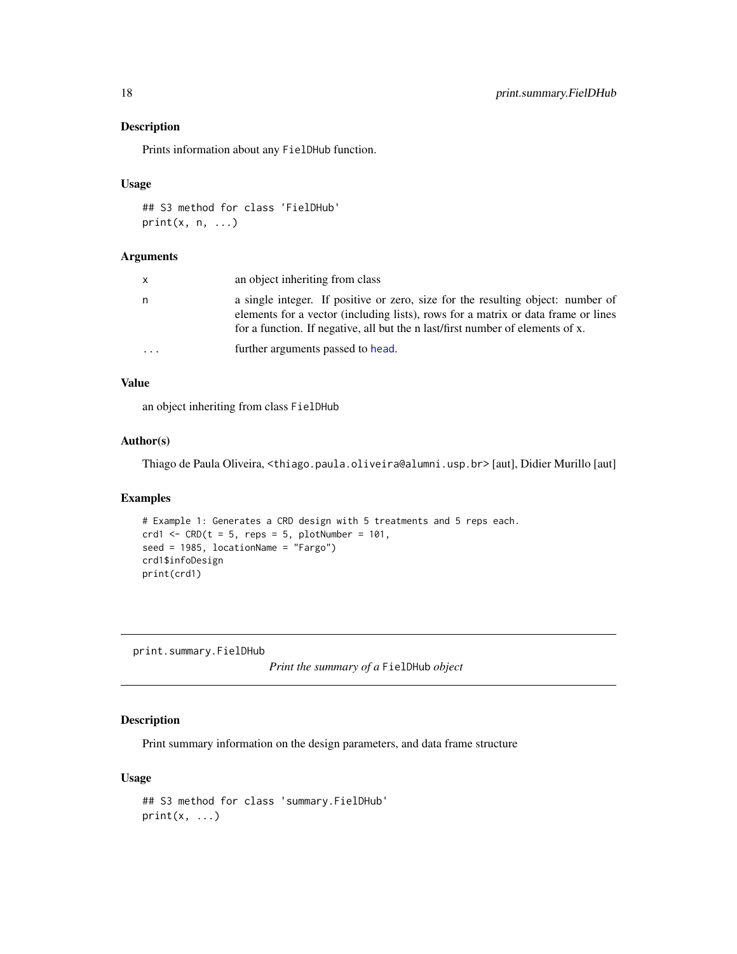### Description

Prints information about any FielDHub function.

#### Usage

```
## S3 method for class 'FielDHub'
print(x, n, ...)
```
#### Arguments

| x | an object inheriting from class                                                                                                                                                                                                                        |
|---|--------------------------------------------------------------------------------------------------------------------------------------------------------------------------------------------------------------------------------------------------------|
| n | a single integer. If positive or zero, size for the resulting object: number of<br>elements for a vector (including lists), rows for a matrix or data frame or lines<br>for a function. If negative, all but the n last/first number of elements of x. |
| . | further arguments passed to head.                                                                                                                                                                                                                      |

### Value

an object inheriting from class FielDHub

### Author(s)

Thiago de Paula Oliveira, <thiago.paula.oliveira@alumni.usp.br> [aut], Didier Murillo [aut]

### Examples

```
# Example 1: Generates a CRD design with 5 treatments and 5 reps each.
crd1 <- CRD(t = 5, reps = 5, plotNumber = 101,seed = 1985, locationName = "Fargo")
crd1$infoDesign
print(crd1)
```
print.summary.FielDHub

*Print the summary of a* FielDHub *object*

### Description

Print summary information on the design parameters, and data frame structure

### Usage

```
## S3 method for class 'summary.FielDHub'
print(x, \ldots)
```
<span id="page-17-0"></span>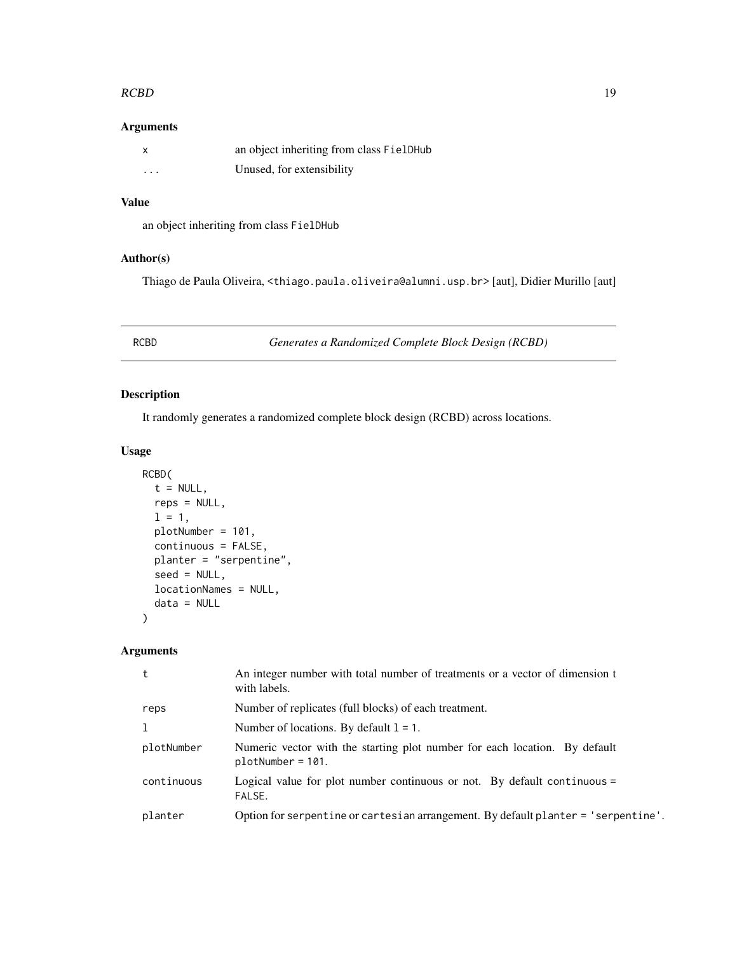#### <span id="page-18-0"></span> $RCBD$  19

### Arguments

| X                       | an object inheriting from class FielDHub |
|-------------------------|------------------------------------------|
| $\cdot$ $\cdot$ $\cdot$ | Unused, for extensibility                |

### Value

an object inheriting from class FielDHub

### Author(s)

Thiago de Paula Oliveira, <thiago.paula.oliveira@alumni.usp.br> [aut], Didier Murillo [aut]

RCBD *Generates a Randomized Complete Block Design (RCBD)*

### Description

It randomly generates a randomized complete block design (RCBD) across locations.

### Usage

```
RCBD(
  t = NULL,reps = NULL,
 1 = 1,plotNumber = 101,
 continuous = FALSE,
 planter = "serpentine",
  seed = NULL,
 locationNames = NULL,
  data = NULL
)
```

| Number of replicates (full blocks) of each treatment.<br>reps<br>$\mathbf{1}$<br>Number of locations. By default $1 = 1$ .<br>Numeric vector with the starting plot number for each location. By default<br>plotNumber<br>$plotNumber = 101.$<br>continuous<br>Logical value for plot number continuous or not. By default continuous $=$<br>FALSE.<br>planter | t | An integer number with total number of treatments or a vector of dimension t<br>with labels. |
|----------------------------------------------------------------------------------------------------------------------------------------------------------------------------------------------------------------------------------------------------------------------------------------------------------------------------------------------------------------|---|----------------------------------------------------------------------------------------------|
|                                                                                                                                                                                                                                                                                                                                                                |   |                                                                                              |
|                                                                                                                                                                                                                                                                                                                                                                |   |                                                                                              |
|                                                                                                                                                                                                                                                                                                                                                                |   |                                                                                              |
|                                                                                                                                                                                                                                                                                                                                                                |   |                                                                                              |
|                                                                                                                                                                                                                                                                                                                                                                |   | Option for serpentine or cartesian arrangement. By default planter = 'serpentine'.           |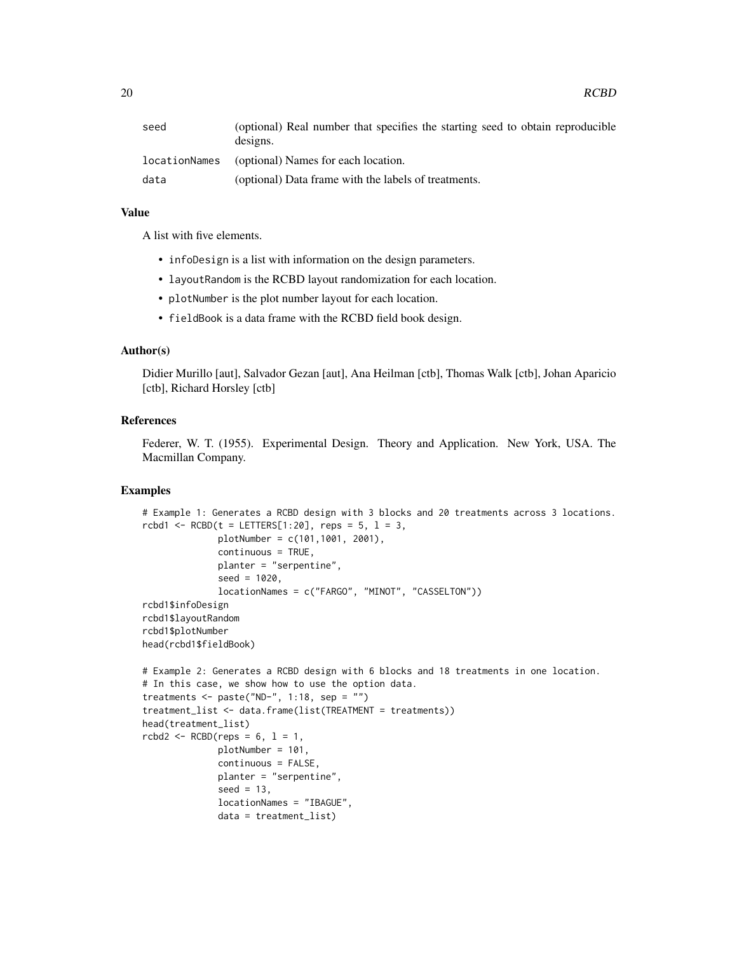#### Value

A list with five elements.

- infoDesign is a list with information on the design parameters.
- layoutRandom is the RCBD layout randomization for each location.
- plotNumber is the plot number layout for each location.
- fieldBook is a data frame with the RCBD field book design.

### Author(s)

Didier Murillo [aut], Salvador Gezan [aut], Ana Heilman [ctb], Thomas Walk [ctb], Johan Aparicio [ctb], Richard Horsley [ctb]

### References

Federer, W. T. (1955). Experimental Design. Theory and Application. New York, USA. The Macmillan Company.

```
# Example 1: Generates a RCBD design with 3 blocks and 20 treatments across 3 locations.
rcbd1 < - RCBD(t = LETTERS[1:20], reps = 5, l = 3,
              plotNumber = c(101,1001, 2001),
              continuous = TRUE,
              planter = "serpentine",
              seed = 1020,
              locationNames = c("FARGO", "MINOT", "CASSELTON"))
rcbd1$infoDesign
rcbd1$layoutRandom
rcbd1$plotNumber
head(rcbd1$fieldBook)
# Example 2: Generates a RCBD design with 6 blocks and 18 treatments in one location.
# In this case, we show how to use the option data.
treatments \leq paste("ND-", 1:18, sep = "")
treatment_list <- data.frame(list(TREATMENT = treatments))
head(treatment_list)
rcbd2 \leq RCBD(reps = 6, 1 = 1,plotNumber = 101,
              continuous = FALSE,
              planter = "serpentine",
              seed = 13,
              locationNames = "IBAGUE",
              data = treatment_list)
```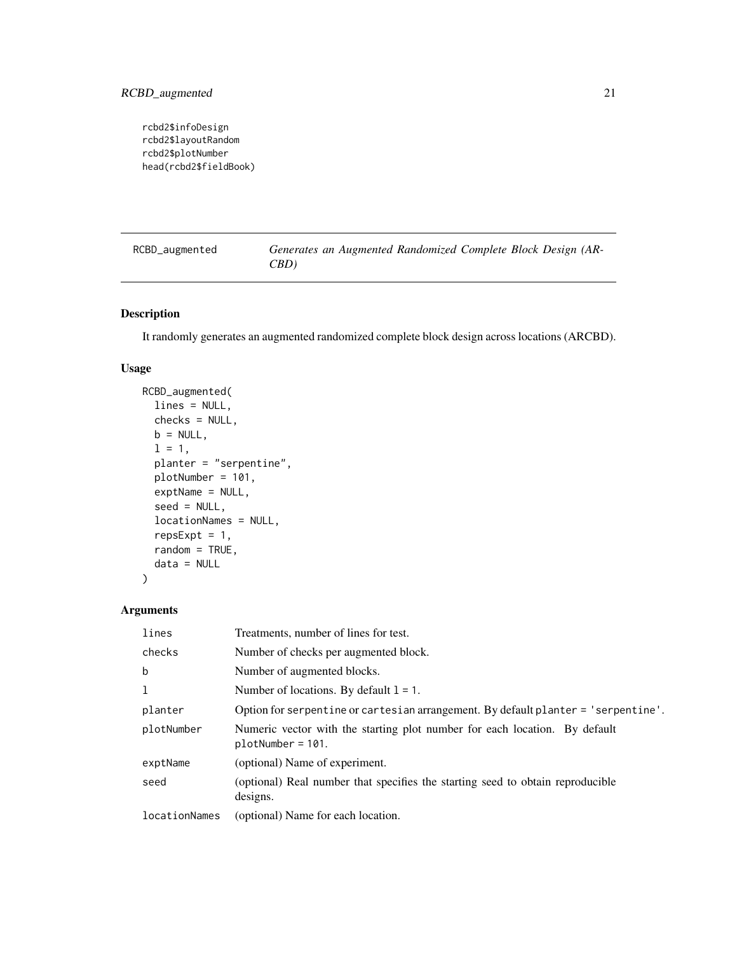<span id="page-20-0"></span>rcbd2\$infoDesign rcbd2\$layoutRandom rcbd2\$plotNumber head(rcbd2\$fieldBook)

| RCBD_augmented | Generates an Augmented Randomized Complete Block Design (AR- |  |  |
|----------------|--------------------------------------------------------------|--|--|
|                | CBD)                                                         |  |  |

### Description

It randomly generates an augmented randomized complete block design across locations (ARCBD).

### Usage

```
RCBD_augmented(
  lines = NULL,
  checks = NULL,
 b = NULL,1 = 1,planter = "serpentine",
 plotNumber = 101,
 exptName = NULL,
  seed = NULL,
  locationNames = NULL,
  repsExpt = 1,
  random = TRUE,data = NULL
\mathcal{L}
```

| lines         | Treatments, number of lines for test.                                                             |
|---------------|---------------------------------------------------------------------------------------------------|
| checks        | Number of checks per augmented block.                                                             |
| $\mathbf b$   | Number of augmented blocks.                                                                       |
| 1             | Number of locations. By default $l = 1$ .                                                         |
| planter       | Option for serpentine or cartesian arrangement. By default planter = 'serpentine'.                |
| plotNumber    | Numeric vector with the starting plot number for each location. By default<br>$plotNumber = 101.$ |
| exptName      | (optional) Name of experiment.                                                                    |
| seed          | (optional) Real number that specifies the starting seed to obtain reproducible<br>designs.        |
| locationNames | (optional) Name for each location.                                                                |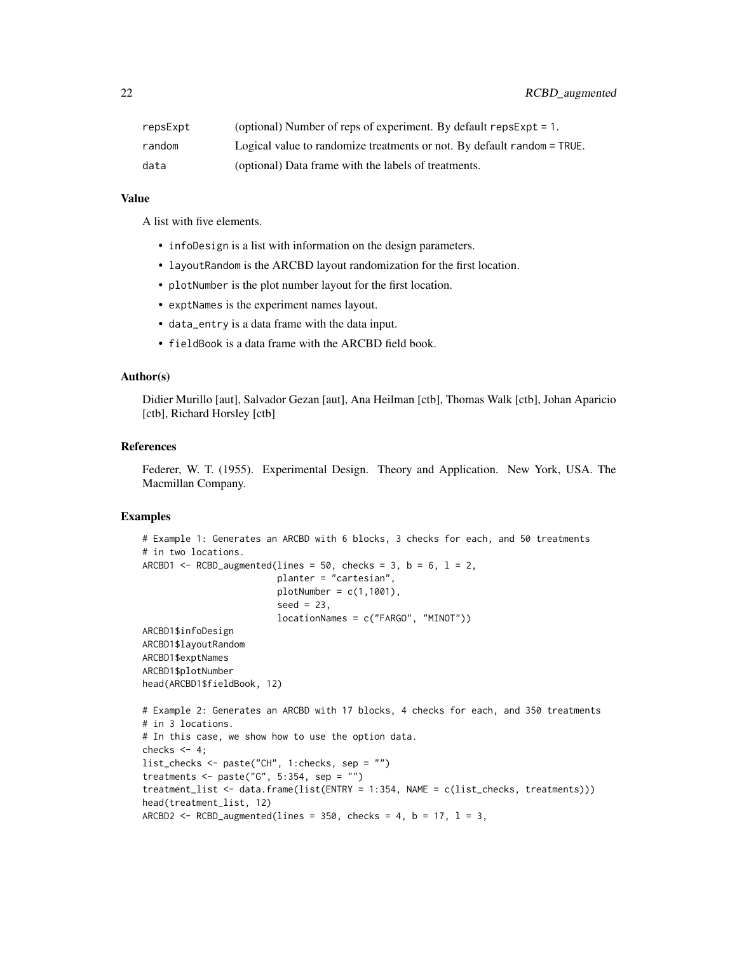| repsExpt | (optional) Number of reps of experiment. By default $repsExpt = 1$ .    |
|----------|-------------------------------------------------------------------------|
| random   | Logical value to randomize treatments or not. By default random = TRUE. |
| data     | (optional) Data frame with the labels of treatments.                    |

### Value

A list with five elements.

- infoDesign is a list with information on the design parameters.
- layoutRandom is the ARCBD layout randomization for the first location.
- plotNumber is the plot number layout for the first location.
- exptNames is the experiment names layout.
- data\_entry is a data frame with the data input.
- fieldBook is a data frame with the ARCBD field book.

### Author(s)

Didier Murillo [aut], Salvador Gezan [aut], Ana Heilman [ctb], Thomas Walk [ctb], Johan Aparicio [ctb], Richard Horsley [ctb]

### References

Federer, W. T. (1955). Experimental Design. Theory and Application. New York, USA. The Macmillan Company.

```
# Example 1: Generates an ARCBD with 6 blocks, 3 checks for each, and 50 treatments
# in two locations.
ARCBD1 \leq RCBD_augmented(lines = 50, checks = 3, b = 6, l = 2,
                         planter = "cartesian",
                         plotNumber = c(1,1001),seed = 23,
                         locationNames = c("FARGO", "MINOT"))
ARCBD1$infoDesign
ARCBD1$layoutRandom
ARCBD1$exptNames
ARCBD1$plotNumber
head(ARCBD1$fieldBook, 12)
# Example 2: Generates an ARCBD with 17 blocks, 4 checks for each, and 350 treatments
# in 3 locations.
# In this case, we show how to use the option data.
checks <-4;list_checks <- paste("CH", 1:checks, sep = "")
treatments \leq paste("G", 5:354, sep = "")
treatment_list <- data.frame(list(ENTRY = 1:354, NAME = c(list_checks, treatments)))
head(treatment_list, 12)
ARCBD2 <- RCBD_augmented(lines = 350, checks = 4, b = 17, l = 3,
```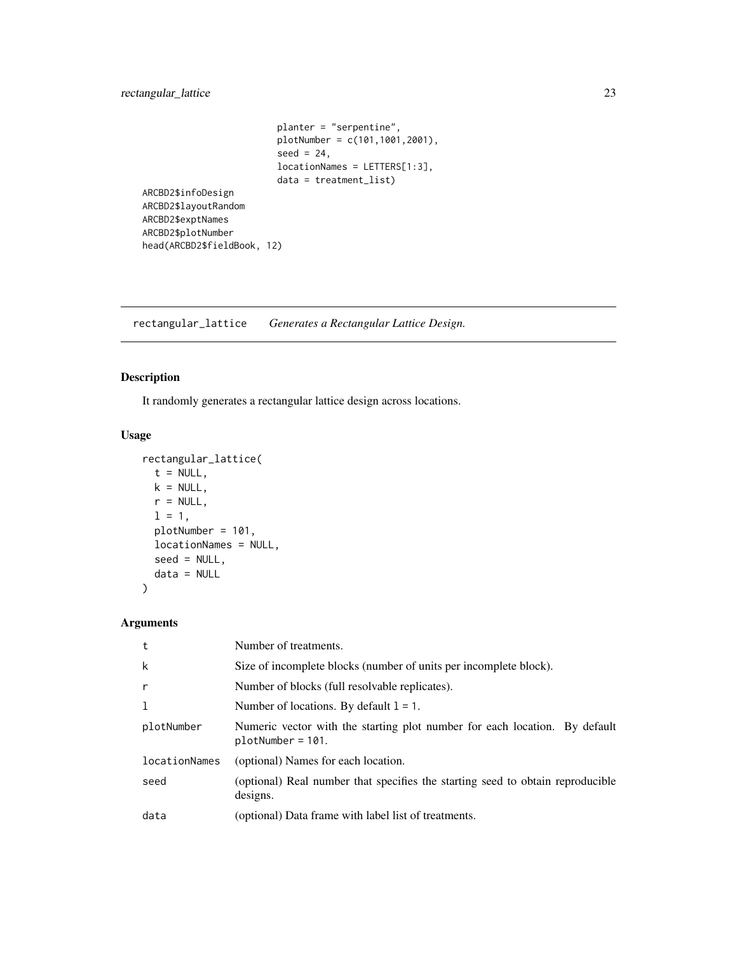### <span id="page-22-0"></span>rectangular\_lattice 23

```
planter = "serpentine",
                        plotNumber = c(101,1001,2001),
                         seed = 24,
                        locationNames = LETTERS[1:3],
                        data = treatment_list)
ARCBD2$infoDesign
ARCBD2$layoutRandom
ARCBD2$exptNames
ARCBD2$plotNumber
head(ARCBD2$fieldBook, 12)
```
rectangular\_lattice *Generates a Rectangular Lattice Design.*

### Description

It randomly generates a rectangular lattice design across locations.

### Usage

```
rectangular_lattice(
 t = NULL,k = NULL,r = NULL,1 = 1,plotNumber = 101,
 locationNames = NULL,
 seed = NULL,
 data = NULL
)
```

| t             | Number of treatments.                                                                             |
|---------------|---------------------------------------------------------------------------------------------------|
| k             | Size of incomplete blocks (number of units per incomplete block).                                 |
| $\mathsf{r}$  | Number of blocks (full resolvable replicates).                                                    |
| <b>T</b>      | Number of locations. By default $l = 1$ .                                                         |
| plotNumber    | Numeric vector with the starting plot number for each location. By default<br>$plotNumber = 101.$ |
| locationNames | (optional) Names for each location.                                                               |
| seed          | (optional) Real number that specifies the starting seed to obtain reproducible<br>designs.        |
| data          | (optional) Data frame with label list of treatments.                                              |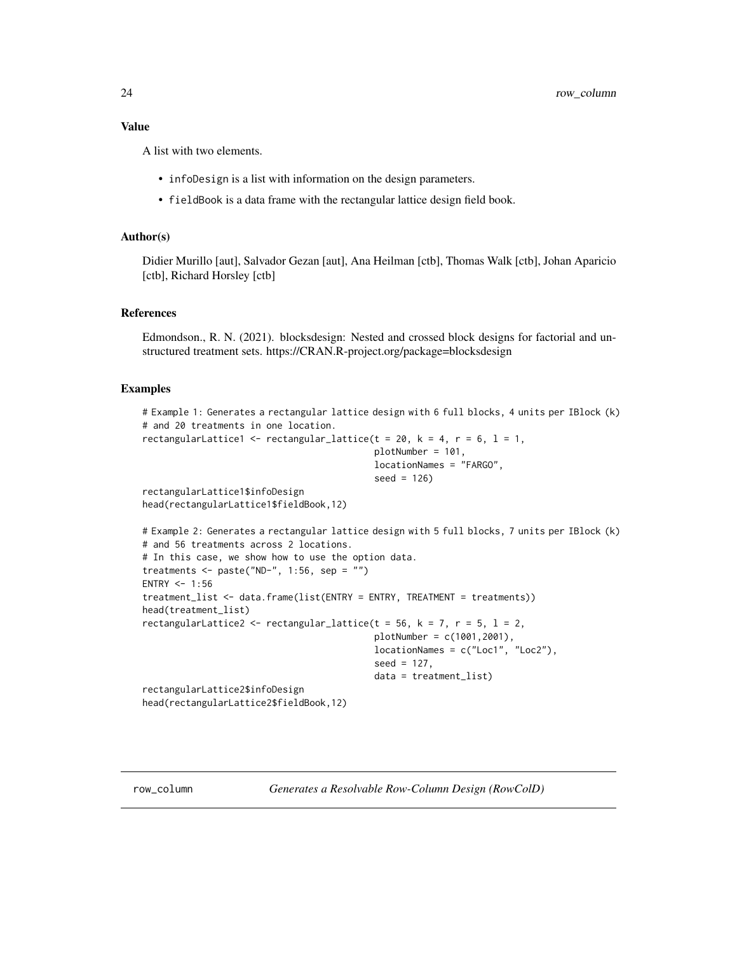<span id="page-23-0"></span>A list with two elements.

- infoDesign is a list with information on the design parameters.
- fieldBook is a data frame with the rectangular lattice design field book.

#### Author(s)

Didier Murillo [aut], Salvador Gezan [aut], Ana Heilman [ctb], Thomas Walk [ctb], Johan Aparicio [ctb], Richard Horsley [ctb]

### References

Edmondson., R. N. (2021). blocksdesign: Nested and crossed block designs for factorial and unstructured treatment sets. https://CRAN.R-project.org/package=blocksdesign

#### Examples

```
# Example 1: Generates a rectangular lattice design with 6 full blocks, 4 units per IBlock (k)
# and 20 treatments in one location.
rectangularLattice1 <- rectangular_lattice(t = 20, k = 4, r = 6, l = 1,
                                            plotNumber = 101,
                                            locationNames = "FARGO",
                                            seed = 126)
rectangularLattice1$infoDesign
head(rectangularLattice1$fieldBook,12)
# Example 2: Generates a rectangular lattice design with 5 full blocks, 7 units per IBlock (k)
# and 56 treatments across 2 locations.
# In this case, we show how to use the option data.
treatments \leq paste("ND-", 1:56, sep = "")
ENTRY <-1:56treatment_list <- data.frame(list(ENTRY = ENTRY, TREATMENT = treatments))
head(treatment_list)
rectangularLattice2 <- rectangular_lattice(t = 56, k = 7, r = 5, l = 2,
                                            plotNumber = c(1001,2001),
                                            locationNames = c("Loc1", "Loc2"),
                                            seed = 127,
                                            data = treatment_list)
rectangularLattice2$infoDesign
head(rectangularLattice2$fieldBook,12)
```
row\_column *Generates a Resolvable Row-Column Design (RowColD)*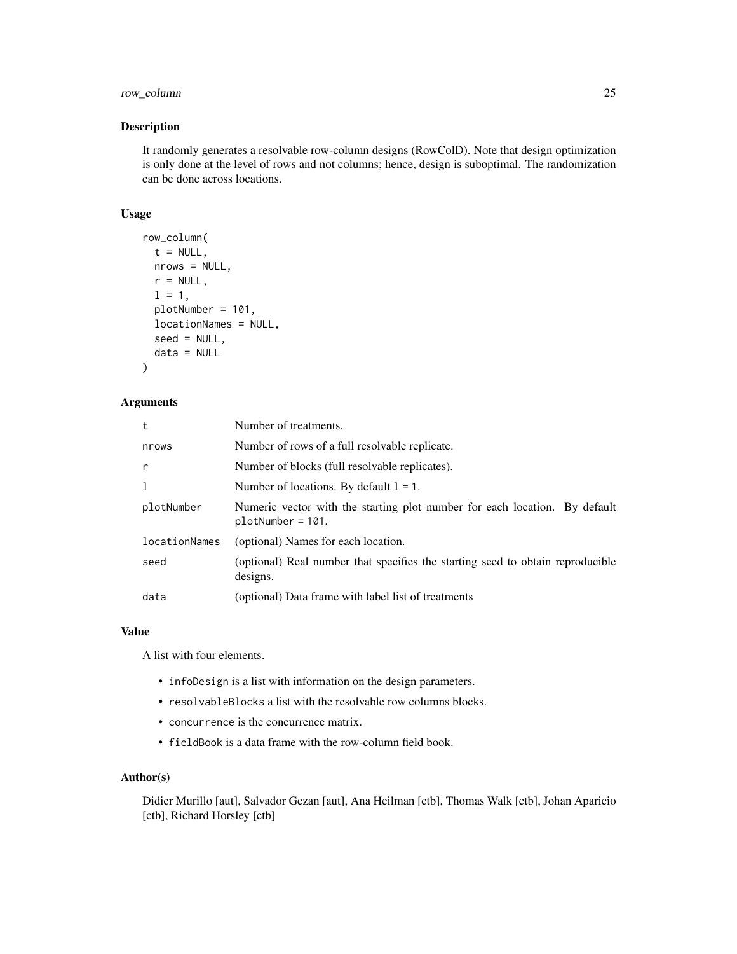### row\_column 25

### Description

It randomly generates a resolvable row-column designs (RowColD). Note that design optimization is only done at the level of rows and not columns; hence, design is suboptimal. The randomization can be done across locations.

### Usage

```
row_column(
  t = NULL,nrows = NULL,
 r = NULL,l = 1,
 plotNumber = 101,
  locationNames = NULL,
  seed = NULL,
  data = NULL
)
```
### Arguments

| t             | Number of treatments.                                                                             |
|---------------|---------------------------------------------------------------------------------------------------|
| nrows         | Number of rows of a full resolvable replicate.                                                    |
| r             | Number of blocks (full resolvable replicates).                                                    |
| ı             | Number of locations. By default $l = 1$ .                                                         |
| plotNumber    | Numeric vector with the starting plot number for each location. By default<br>$plotNumber = 101.$ |
| locationNames | (optional) Names for each location.                                                               |
| seed          | (optional) Real number that specifies the starting seed to obtain reproducible<br>designs.        |
| data          | (optional) Data frame with label list of treatments                                               |

#### Value

A list with four elements.

- infoDesign is a list with information on the design parameters.
- resolvableBlocks a list with the resolvable row columns blocks.
- concurrence is the concurrence matrix.
- fieldBook is a data frame with the row-column field book.

### Author(s)

Didier Murillo [aut], Salvador Gezan [aut], Ana Heilman [ctb], Thomas Walk [ctb], Johan Aparicio [ctb], Richard Horsley [ctb]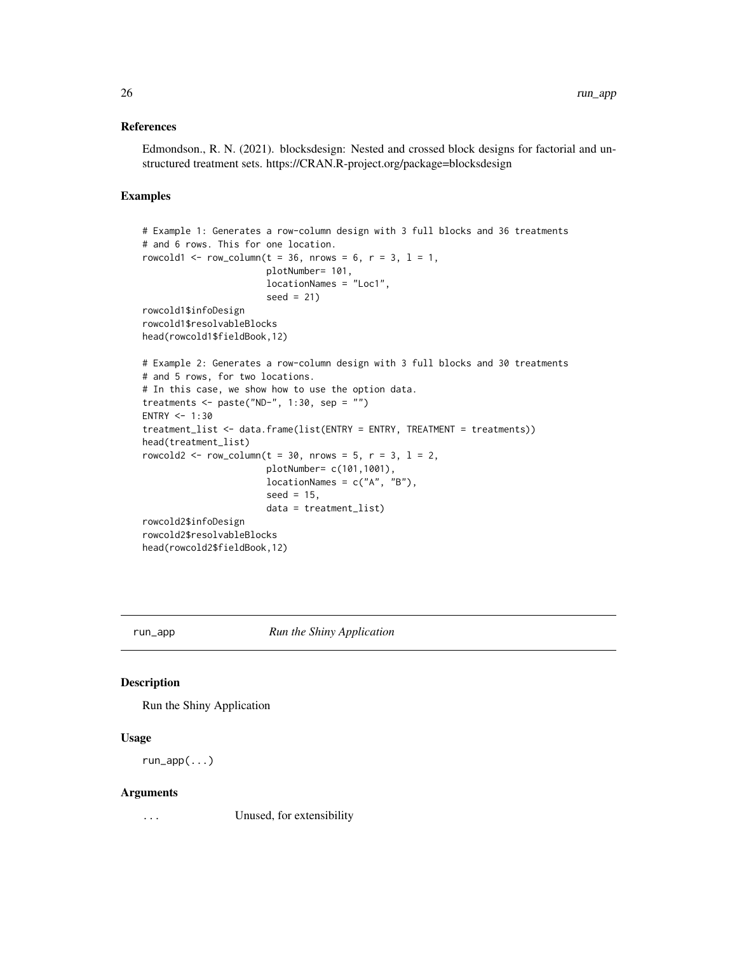### <span id="page-25-0"></span>References

Edmondson., R. N. (2021). blocksdesign: Nested and crossed block designs for factorial and unstructured treatment sets. https://CRAN.R-project.org/package=blocksdesign

#### Examples

```
# Example 1: Generates a row-column design with 3 full blocks and 36 treatments
# and 6 rows. This for one location.
rowcold1 <- row_column(t = 36, nrows = 6, r = 3, l = 1,
                       plotNumber= 101,
                       locationNames = "Loc1",
                       seed = 21)
rowcold1$infoDesign
rowcold1$resolvableBlocks
head(rowcold1$fieldBook,12)
# Example 2: Generates a row-column design with 3 full blocks and 30 treatments
# and 5 rows, for two locations.
# In this case, we show how to use the option data.
treatments <- paste("ND-", 1:30, sep = "")
ENTRY <-1:30treatment_list <- data.frame(list(ENTRY = ENTRY, TREATMENT = treatments))
head(treatment_list)
rowcold2 <- row_column(t = 30, nrows = 5, r = 3, l = 2,
                       plotNumber= c(101,1001),
                       locationNames = c("A", "B"),
                       seed = 15,
                       data = treatment_list)
rowcold2$infoDesign
rowcold2$resolvableBlocks
head(rowcold2$fieldBook,12)
```
run\_app *Run the Shiny Application*

### Description

Run the Shiny Application

#### Usage

run\_app(...)

#### Arguments

... Unused, for extensibility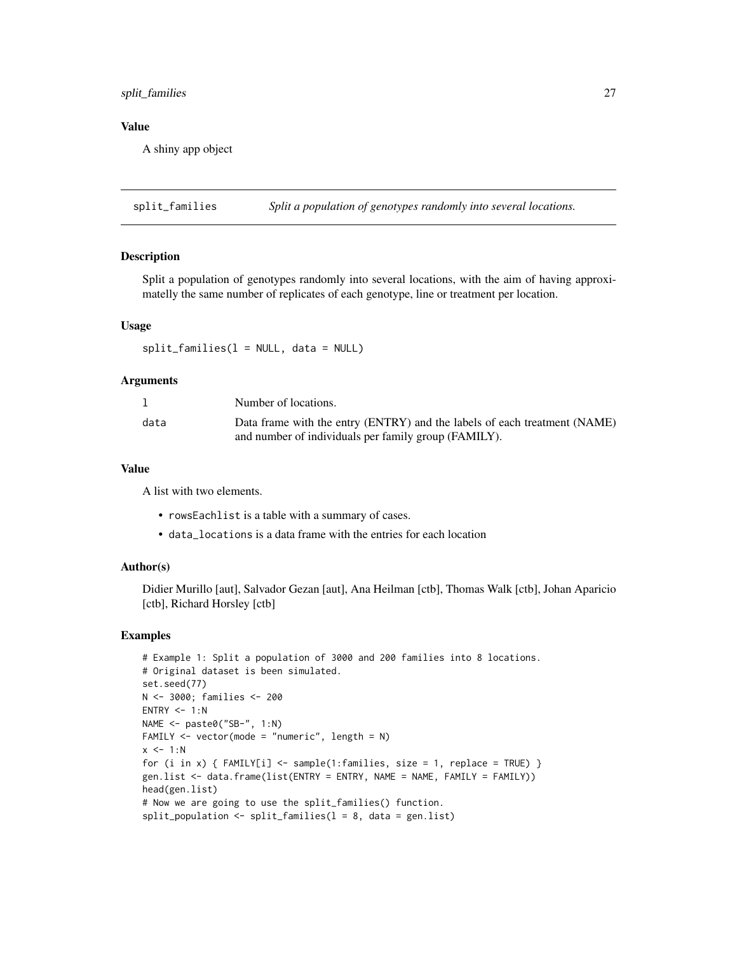### <span id="page-26-0"></span>split\_families 27

### Value

A shiny app object

split\_families *Split a population of genotypes randomly into several locations.*

#### Description

Split a population of genotypes randomly into several locations, with the aim of having approximatelly the same number of replicates of each genotype, line or treatment per location.

#### Usage

 $split_families(1 = NULL, data = NULL)$ 

#### Arguments

|      | Number of locations.                                                                                                              |
|------|-----------------------------------------------------------------------------------------------------------------------------------|
| data | Data frame with the entry (ENTRY) and the labels of each treatment (NAME)<br>and number of individuals per family group (FAMILY). |

### Value

A list with two elements.

- rowsEachlist is a table with a summary of cases.
- data\_locations is a data frame with the entries for each location

#### Author(s)

Didier Murillo [aut], Salvador Gezan [aut], Ana Heilman [ctb], Thomas Walk [ctb], Johan Aparicio [ctb], Richard Horsley [ctb]

```
# Example 1: Split a population of 3000 and 200 families into 8 locations.
# Original dataset is been simulated.
set.seed(77)
N <- 3000; families <- 200
ENTRY < -1:NNAME <- paste0("SB-", 1:N)
FAMILY \leq vector(mode = "numeric", length = N)
x < -1:Nfor (i in x) { FAMILY[i] < - sample(1: families, size = 1, replace = TRUE) }
gen.list <- data.frame(list(ENTRY = ENTRY, NAME = NAME, FAMILY = FAMILY))
head(gen.list)
# Now we are going to use the split_families() function.
split\_population \leftarrow split\_families(1 = 8, data = gen.list)
```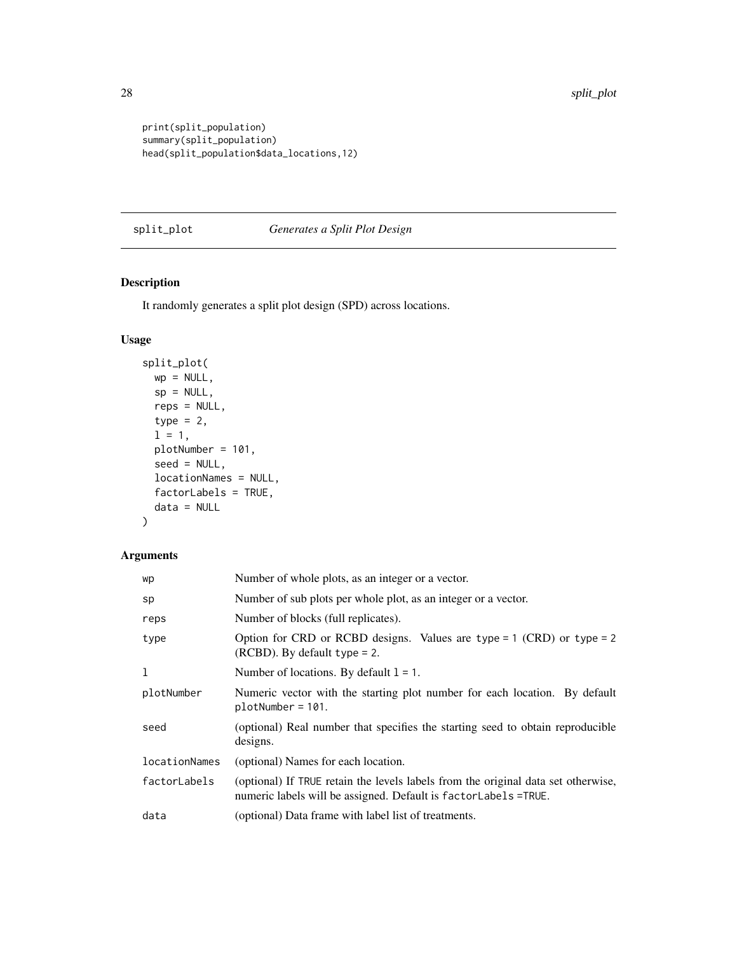```
print(split_population)
summary(split_population)
head(split_population$data_locations,12)
```
### split\_plot *Generates a Split Plot Design*

### Description

It randomly generates a split plot design (SPD) across locations.

### Usage

```
split_plot(
 wp = NULL,sp = NULL,reps = NULL,
 type = 2,
 1 = 1,plotNumber = 101,
  seed = NULL,
 locationNames = NULL,
 factorLabels = TRUE,
 data = NULL
)
```

| wp            | Number of whole plots, as an integer or a vector.                                                                                                    |
|---------------|------------------------------------------------------------------------------------------------------------------------------------------------------|
| sp            | Number of sub plots per whole plot, as an integer or a vector.                                                                                       |
| reps          | Number of blocks (full replicates).                                                                                                                  |
| type          | Option for CRD or RCBD designs. Values are type = $1$ (CRD) or type = $2$<br>$(RCBD)$ . By default type = 2.                                         |
| 1             | Number of locations. By default $l = 1$ .                                                                                                            |
| plotNumber    | Numeric vector with the starting plot number for each location. By default<br>$plotNumber = 101.$                                                    |
| seed          | (optional) Real number that specifies the starting seed to obtain reproducible<br>designs.                                                           |
| locationNames | (optional) Names for each location.                                                                                                                  |
| factorLabels  | (optional) If TRUE retain the levels labels from the original data set otherwise,<br>numeric labels will be assigned. Default is factorLabels =TRUE. |
| data          | (optional) Data frame with label list of treatments.                                                                                                 |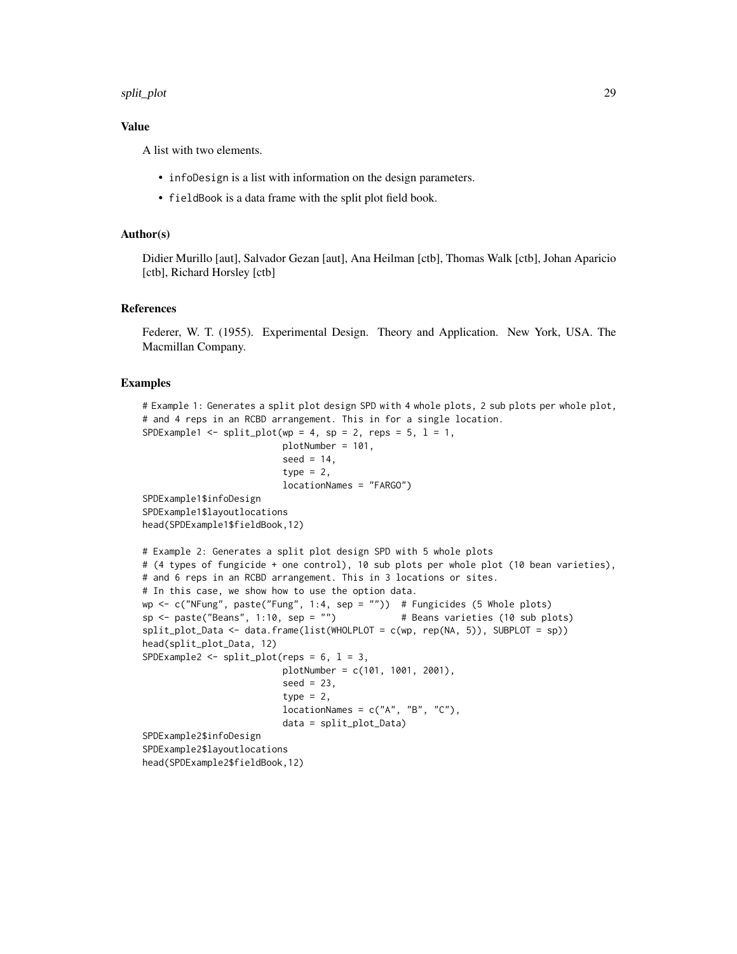#### split\_plot 29

### Value

A list with two elements.

- infoDesign is a list with information on the design parameters.
- fieldBook is a data frame with the split plot field book.

#### Author(s)

Didier Murillo [aut], Salvador Gezan [aut], Ana Heilman [ctb], Thomas Walk [ctb], Johan Aparicio [ctb], Richard Horsley [ctb]

#### References

Federer, W. T. (1955). Experimental Design. Theory and Application. New York, USA. The Macmillan Company.

```
# Example 1: Generates a split plot design SPD with 4 whole plots, 2 sub plots per whole plot,
# and 4 reps in an RCBD arrangement. This in for a single location.
SPDExample1 <- split_plot(wp = 4, sp = 2, reps = 5, l = 1,
                          plotNumber = 101,
                          seed = 14,
                          type = 2,
                          locationNames = "FARGO")
SPDExample1$infoDesign
SPDExample1$layoutlocations
head(SPDExample1$fieldBook,12)
# Example 2: Generates a split plot design SPD with 5 whole plots
# (4 types of fungicide + one control), 10 sub plots per whole plot (10 bean varieties),
# and 6 reps in an RCBD arrangement. This in 3 locations or sites.
# In this case, we show how to use the option data.
wp <- c("NFung", paste("Fung", 1:4, sep = "")) # Fungicides (5 Whole plots)
sp \le paste("Beans", 1:10, sep = "") \qquad # Beans varieties (10 sub plots)
split_plot_Data <- data.frame(list(WHOLPLOT = c(wp, rep(NA, 5)), SUBPLOT = sp))
head(split_plot_Data, 12)
SPDExample2 \le split_plot(reps = 6, 1 = 3,
                          plotNumber = c(101, 1001, 2001),
                          seed = 23,
                          type = 2,
                          locationNames = c("A", "B", "C"),data = split_plot_Data)
SPDExample2$infoDesign
SPDExample2$layoutlocations
head(SPDExample2$fieldBook,12)
```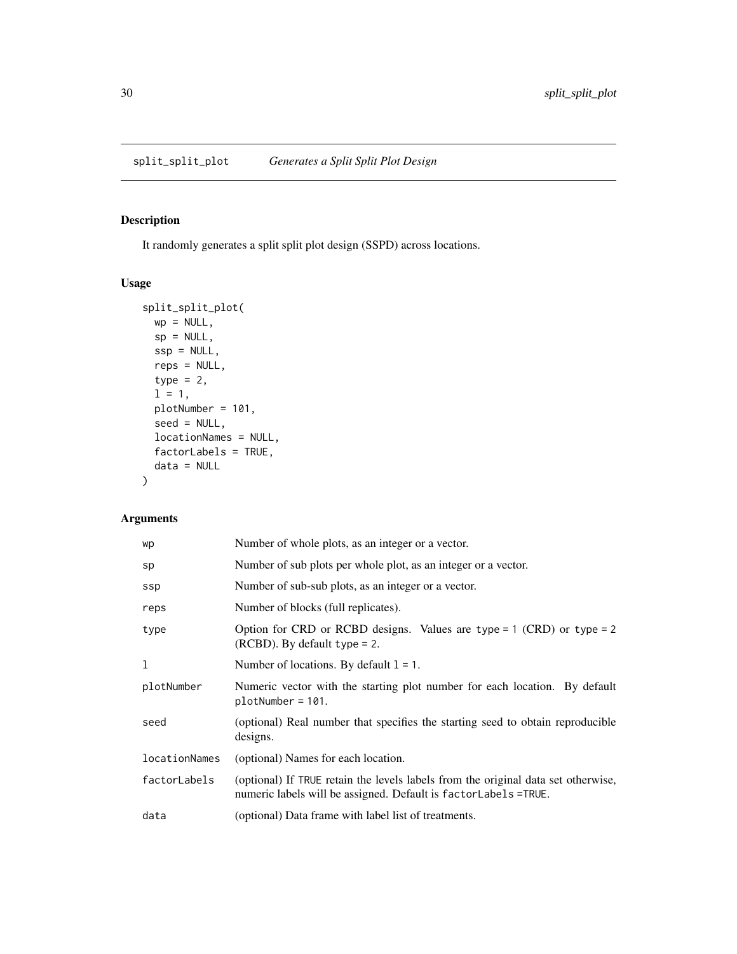### <span id="page-29-0"></span>Description

It randomly generates a split split plot design (SSPD) across locations.

### Usage

```
split_split_plot(
 wp = NULL,sp = NULL,ssp = NULL,reps = NULL,
  type = 2,
 1 = 1,plotNumber = 101,
  seed = NULL,locationNames = NULL,
 factorLabels = TRUE,
 data = NULL
)
```

| wp            | Number of whole plots, as an integer or a vector.                                                                                                    |
|---------------|------------------------------------------------------------------------------------------------------------------------------------------------------|
| sp            | Number of sub plots per whole plot, as an integer or a vector.                                                                                       |
| ssp           | Number of sub-sub plots, as an integer or a vector.                                                                                                  |
| reps          | Number of blocks (full replicates).                                                                                                                  |
| type          | Option for CRD or RCBD designs. Values are type = $1$ (CRD) or type = $2$<br>$(RCBD)$ . By default type = 2.                                         |
| 1             | Number of locations. By default $l = 1$ .                                                                                                            |
| plotNumber    | Numeric vector with the starting plot number for each location. By default<br>$plotNumber = 101.$                                                    |
| seed          | (optional) Real number that specifies the starting seed to obtain reproducible<br>designs.                                                           |
| locationNames | (optional) Names for each location.                                                                                                                  |
| factorLabels  | (optional) If TRUE retain the levels labels from the original data set otherwise,<br>numeric labels will be assigned. Default is factorLabels =TRUE. |
| data          | (optional) Data frame with label list of treatments.                                                                                                 |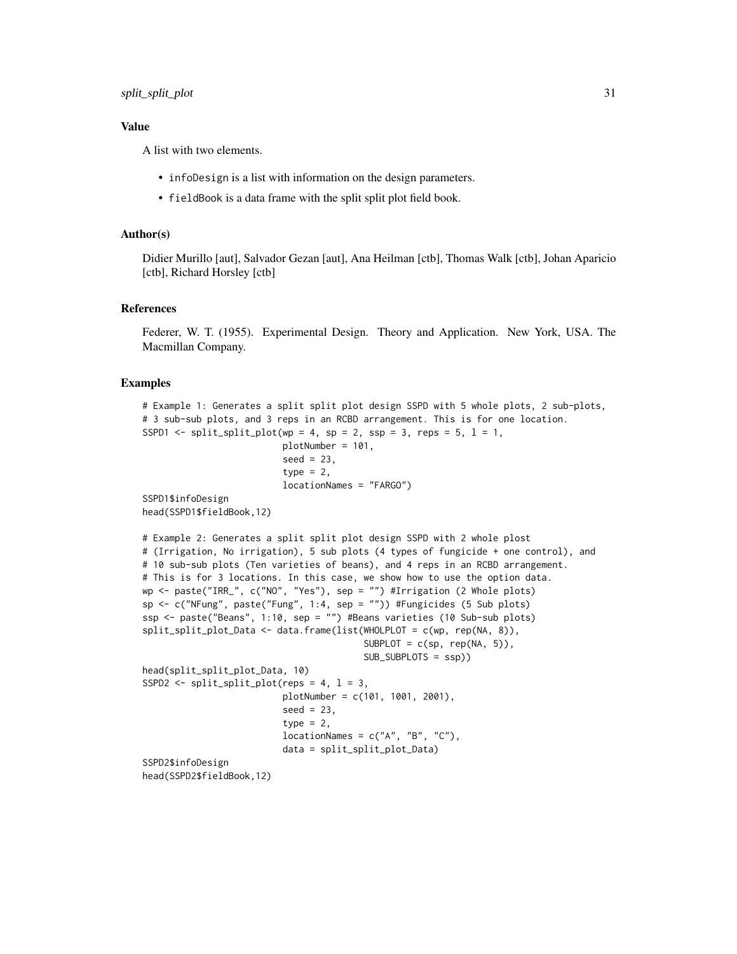### Value

A list with two elements.

- infoDesign is a list with information on the design parameters.
- fieldBook is a data frame with the split split plot field book.

#### Author(s)

Didier Murillo [aut], Salvador Gezan [aut], Ana Heilman [ctb], Thomas Walk [ctb], Johan Aparicio [ctb], Richard Horsley [ctb]

#### References

Federer, W. T. (1955). Experimental Design. Theory and Application. New York, USA. The Macmillan Company.

```
# Example 1: Generates a split split plot design SSPD with 5 whole plots, 2 sub-plots,
# 3 sub-sub plots, and 3 reps in an RCBD arrangement. This is for one location.
SSPD1 \le split_split_plot(wp = 4, sp = 2, ssp = 3, reps = 5, 1 = 1,
                          plotNumber = 101,
                          seed = 23,
                          type = 2,
                          locationNames = "FARGO")
SSPD1$infoDesign
head(SSPD1$fieldBook,12)
# Example 2: Generates a split split plot design SSPD with 2 whole plost
# (Irrigation, No irrigation), 5 sub plots (4 types of fungicide + one control), and
# 10 sub-sub plots (Ten varieties of beans), and 4 reps in an RCBD arrangement.
# This is for 3 locations. In this case, we show how to use the option data.
wp <- paste("IRR_", c("NO", "Yes"), sep = "") #Irrigation (2 Whole plots)
sp <- c("NFung", paste("Fung", 1:4, sep = "")) #Fungicides (5 Sub plots)
ssp <- paste("Beans", 1:10, sep = "") #Beans varieties (10 Sub-sub plots)
split_split_plot_Data <- data.frame(list(WHOLPLOT = c(wp, rep(NA, 8)),
                                         SUBPLOT = c(sp, rep(NA, 5)),
                                         SUB_SUBPLOTS = ssp))
head(split_split_plot_Data, 10)
SSPD2 \le split_split_plot(reps = 4, 1 = 3,
                          plotNumber = c(101, 1001, 2001),
                          seed = 23,
                          type = 2,
                          locationNames = c("A", "B", "C"),data = split_split_plot_Data)
SSPD2$infoDesign
head(SSPD2$fieldBook,12)
```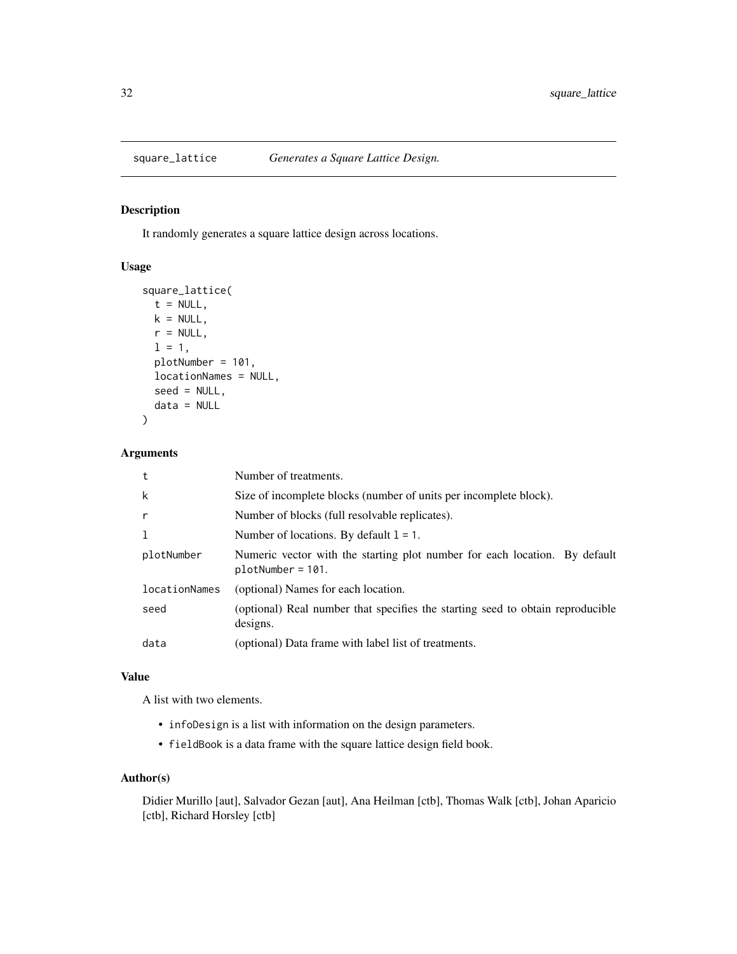<span id="page-31-0"></span>

### Description

It randomly generates a square lattice design across locations.

### Usage

```
square_lattice(
 t = NULL,k = NULL,r = NULL,1 = 1,plotNumber = 101,
 locationNames = NULL,
  seed = NULL,
  data = NULL
)
```
### Arguments

| t             | Number of treatments.                                                                             |
|---------------|---------------------------------------------------------------------------------------------------|
| k             | Size of incomplete blocks (number of units per incomplete block).                                 |
| $\mathsf{r}$  | Number of blocks (full resolvable replicates).                                                    |
| 1             | Number of locations. By default $1 = 1$ .                                                         |
| plotNumber    | Numeric vector with the starting plot number for each location. By default<br>$plotNumber = 101.$ |
| locationNames | (optional) Names for each location.                                                               |
| seed          | (optional) Real number that specifies the starting seed to obtain reproducible<br>designs.        |
| data          | (optional) Data frame with label list of treatments.                                              |

### Value

A list with two elements.

- infoDesign is a list with information on the design parameters.
- fieldBook is a data frame with the square lattice design field book.

#### Author(s)

Didier Murillo [aut], Salvador Gezan [aut], Ana Heilman [ctb], Thomas Walk [ctb], Johan Aparicio [ctb], Richard Horsley [ctb]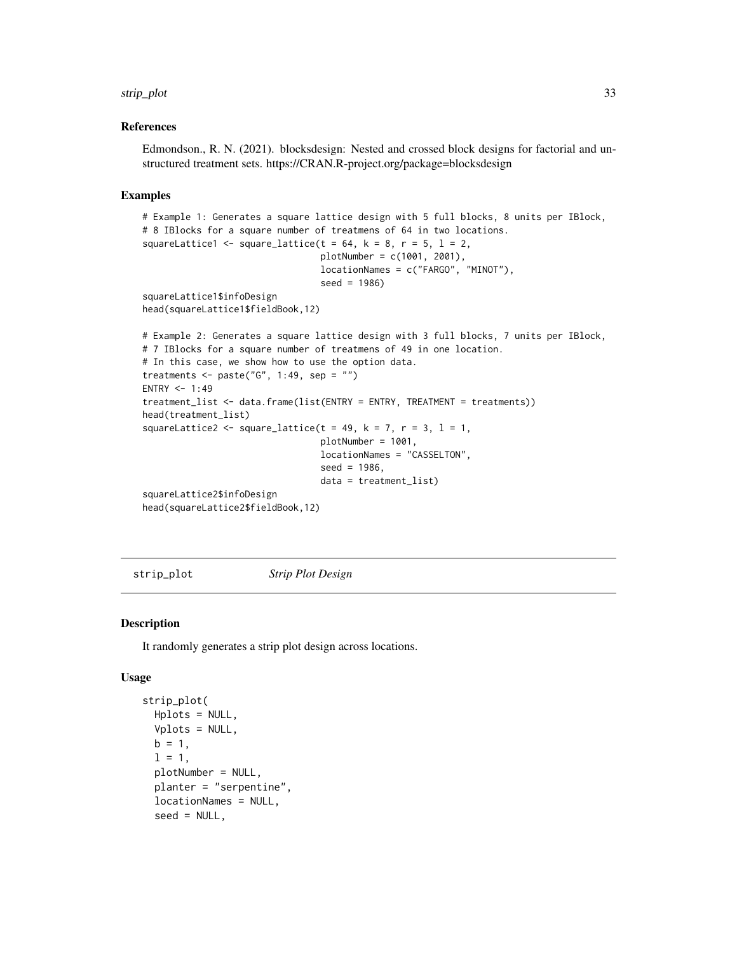#### <span id="page-32-0"></span>strip\_plot 33

#### References

Edmondson., R. N. (2021). blocksdesign: Nested and crossed block designs for factorial and unstructured treatment sets. https://CRAN.R-project.org/package=blocksdesign

#### Examples

```
# Example 1: Generates a square lattice design with 5 full blocks, 8 units per IBlock,
# 8 IBlocks for a square number of treatmens of 64 in two locations.
squareLattice1 <- square_lattice(t = 64, k = 8, r = 5, l = 2,
                                 plotNumber = c(1001, 2001),
                                 locationNames = c("FARGO", "MINOT"),
                                 seed = 1986)
squareLattice1$infoDesign
head(squareLattice1$fieldBook,12)
# Example 2: Generates a square lattice design with 3 full blocks, 7 units per IBlock,
# 7 IBlocks for a square number of treatmens of 49 in one location.
# In this case, we show how to use the option data.
treatments \leq paste("G", 1:49, sep = "")
ENTRY <-1:49treatment_list <- data.frame(list(ENTRY = ENTRY, TREATMENT = treatments))
head(treatment_list)
squareLattice2 <- square_lattice(t = 49, k = 7, r = 3, l = 1,
                                 plotNumber = 1001,
                                 locationNames = "CASSELTON",
                                 seed = 1986,
                                 data = treatment_list)
squareLattice2$infoDesign
head(squareLattice2$fieldBook,12)
```
strip\_plot *Strip Plot Design*

#### Description

It randomly generates a strip plot design across locations.

#### Usage

```
strip_plot(
 Hplots = NULL,
 Vplots = NULL,
 b = 1,
  1 = 1,
  plotNumber = NULL,
 planter = "serpentine",
  locationNames = NULL,
  seed = NULL,
```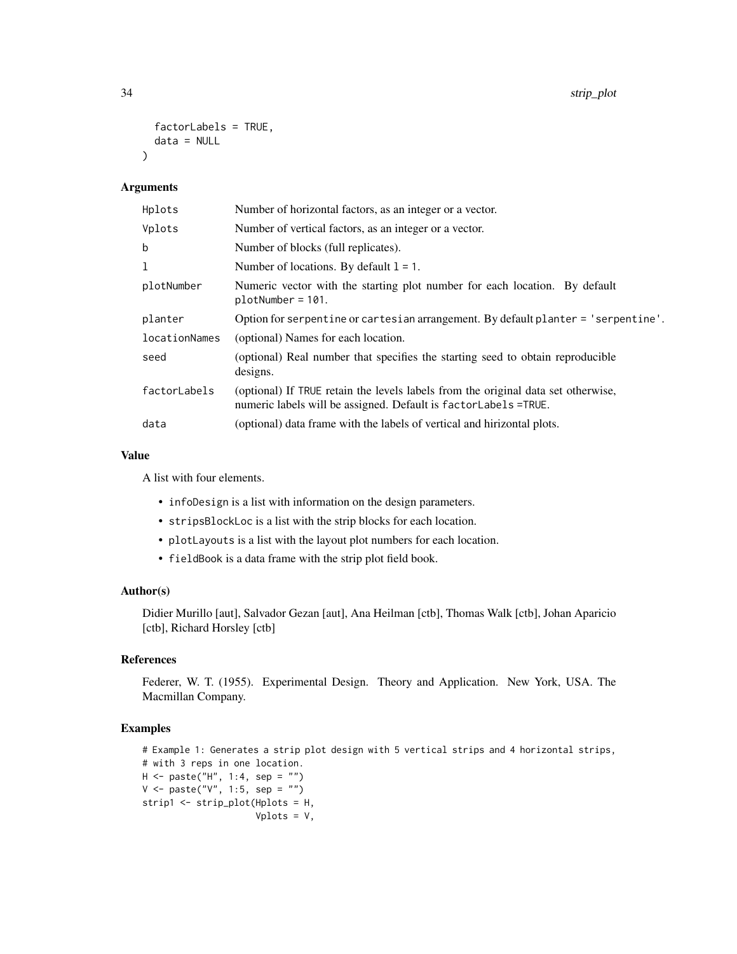```
factorLabels = TRUE,
 data = NULL
)
```
#### Arguments

| Hplots        | Number of horizontal factors, as an integer or a vector.                                                                                             |
|---------------|------------------------------------------------------------------------------------------------------------------------------------------------------|
| Vplots        | Number of vertical factors, as an integer or a vector.                                                                                               |
| b             | Number of blocks (full replicates).                                                                                                                  |
| 1             | Number of locations. By default $l = 1$ .                                                                                                            |
| plotNumber    | Numeric vector with the starting plot number for each location. By default<br>$plotNumber = 101.$                                                    |
| planter       | Option for serpentine or cartesian arrangement. By default planter = 'serpentine'.                                                                   |
| locationNames | (optional) Names for each location.                                                                                                                  |
| seed          | (optional) Real number that specifies the starting seed to obtain reproducible<br>designs.                                                           |
| factorLabels  | (optional) If TRUE retain the levels labels from the original data set otherwise,<br>numeric labels will be assigned. Default is factorLabels =TRUE. |
| data          | (optional) data frame with the labels of vertical and hirizontal plots.                                                                              |

### Value

A list with four elements.

- infoDesign is a list with information on the design parameters.
- stripsBlockLoc is a list with the strip blocks for each location.
- plotLayouts is a list with the layout plot numbers for each location.
- fieldBook is a data frame with the strip plot field book.

#### Author(s)

Didier Murillo [aut], Salvador Gezan [aut], Ana Heilman [ctb], Thomas Walk [ctb], Johan Aparicio [ctb], Richard Horsley [ctb]

### References

Federer, W. T. (1955). Experimental Design. Theory and Application. New York, USA. The Macmillan Company.

```
# Example 1: Generates a strip plot design with 5 vertical strips and 4 horizontal strips,
# with 3 reps in one location.
H <- paste("H", 1:4, sep = "")
V \le - paste("V", 1:5, sep = "")
strip1 <- strip_plot(Hplots = H,
                     Vplots = V,
```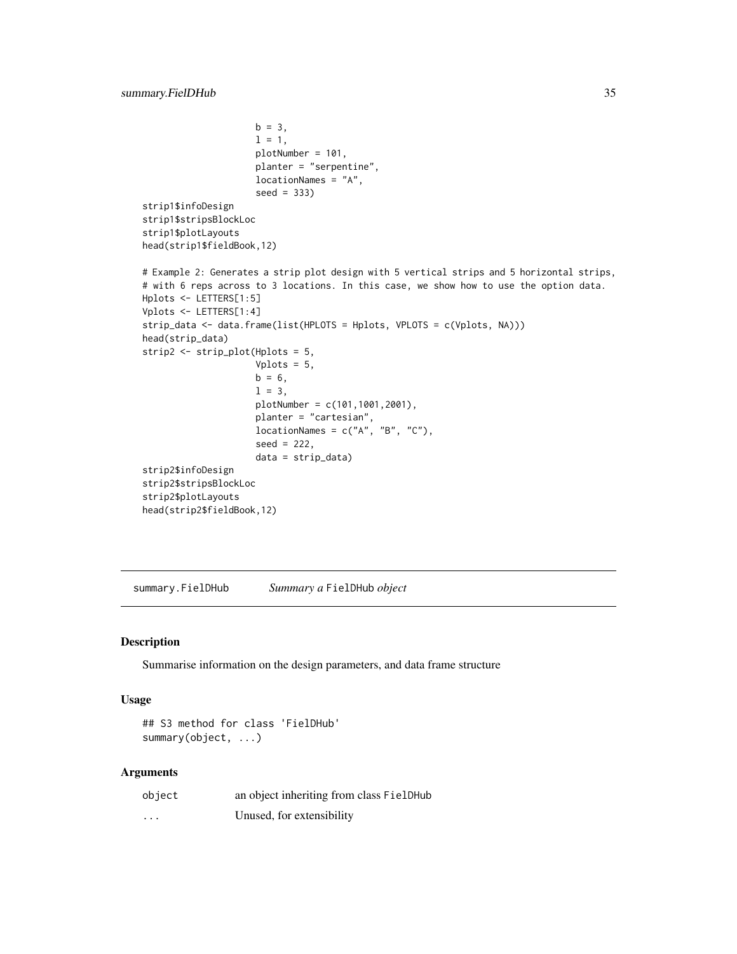```
b = 3,
                     1 = 1,
                     plotNumber = 101,
                     planter = "serpentine",
                     locationNames = "A",
                     seed = 333)
strip1$infoDesign
strip1$stripsBlockLoc
strip1$plotLayouts
head(strip1$fieldBook,12)
# Example 2: Generates a strip plot design with 5 vertical strips and 5 horizontal strips,
# with 6 reps across to 3 locations. In this case, we show how to use the option data.
Hplots <- LETTERS[1:5]
Vplots <- LETTERS[1:4]
strip_data <- data.frame(list(HPLOTS = Hplots, VPLOTS = c(Vplots, NA)))
head(strip_data)
strip2 <- strip_plot(Hplots = 5,
                     Vplots = 5,
                     b = 6,
                     1 = 3,
                     plotNumber = c(101,1001,2001),
                     planter = "cartesian",
                     locationNames = c("A", "B", "C"),
                     seed = 222,
                     data = strip_data)
strip2$infoDesign
strip2$stripsBlockLoc
strip2$plotLayouts
head(strip2$fieldBook,12)
```
summary.FielDHub *Summary a* FielDHub *object*

### Description

Summarise information on the design parameters, and data frame structure

#### Usage

```
## S3 method for class 'FielDHub'
summary(object, ...)
```

| object   | an object inheriting from class FielDHub |
|----------|------------------------------------------|
| $\cdots$ | Unused, for extensibility                |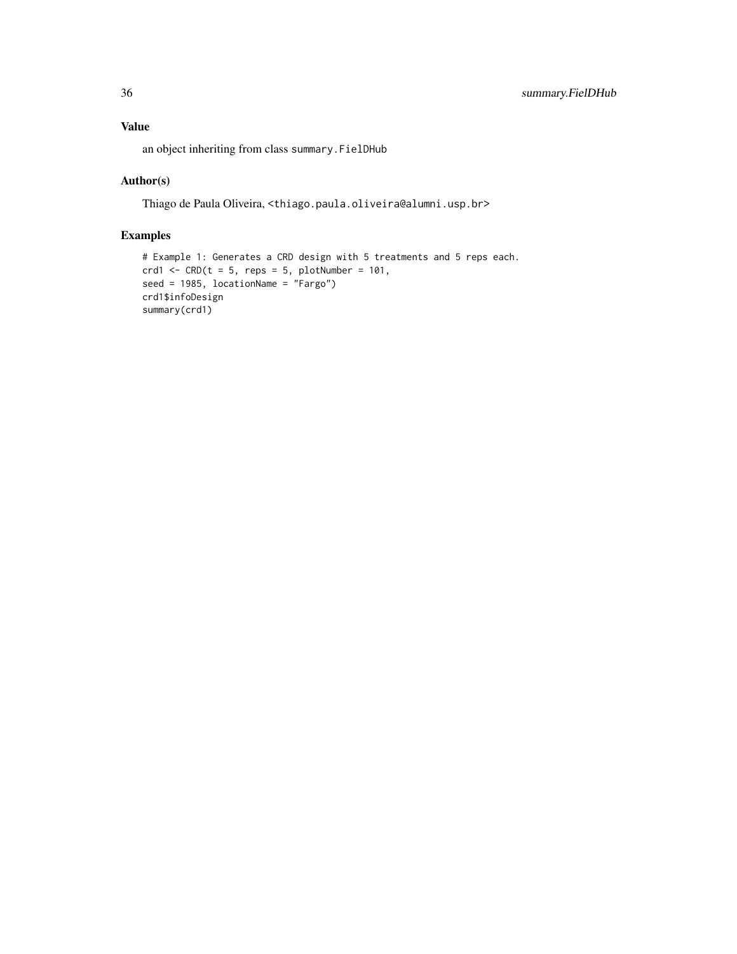### Value

an object inheriting from class summary.FielDHub

### Author(s)

Thiago de Paula Oliveira, <thiago.paula.oliveira@alumni.usp.br>

```
# Example 1: Generates a CRD design with 5 treatments and 5 reps each.
crd1 <- CRD(t = 5, reps = 5, plotNumber = 101,seed = 1985, locationName = "Fargo")
crd1$infoDesign
summary(crd1)
```